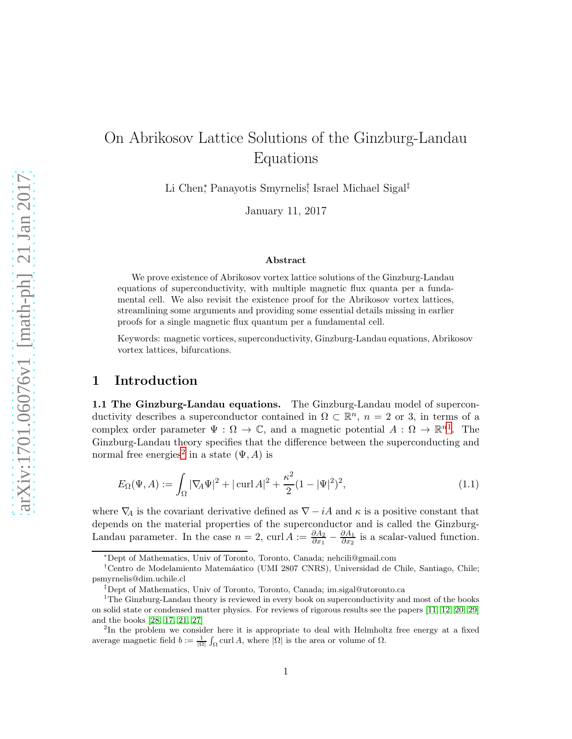# On Abrikosov Lattice Solutions of the Ginzburg-Landau Equations

Li Chen<sup>∗</sup> , Panayotis Smyrnelis† , Israel Michael Sigal‡

January 11, 2017

#### Abstract

We prove existence of Abrikosov vortex lattice solutions of the Ginzburg-Landau equations of superconductivity, with multiple magnetic flux quanta per a fundamental cell. We also revisit the existence proof for the Abrikosov vortex lattices, streamlining some arguments and providing some essential details missing in earlier proofs for a single magnetic flux quantum per a fundamental cell.

Keywords: magnetic vortices, superconductivity, Ginzburg-Landau equations, Abrikosov vortex lattices, bifurcations.

## 1 Introduction

1.1 The Ginzburg-Landau equations. The Ginzburg-Landau model of superconductivity describes a superconductor contained in  $\Omega \subset \mathbb{R}^n$ ,  $n = 2$  or 3, in terms of a complex order parameter  $\Psi : \Omega \to \mathbb{C}$ , and a magnetic potential  $A : \Omega \to \mathbb{R}^{n}$ . The Ginzburg-Landau theory specifies that the difference between the superconducting and normal free energies<sup>[2](#page-0-1)</sup> in a state  $(\Psi, A)$  is

$$
E_{\Omega}(\Psi, A) := \int_{\Omega} |\nabla_{\!A} \Psi|^2 + |\operatorname{curl} A|^2 + \frac{\kappa^2}{2} (1 - |\Psi|^2)^2, \tag{1.1}
$$

where  $\nabla_A$  is the covariant derivative defined as  $\nabla - iA$  and  $\kappa$  is a positive constant that depends on the material properties of the superconductor and is called the Ginzburg-Landau parameter. In the case  $n = 2$ , curl  $A := \frac{\partial A_2}{\partial x_1} - \frac{\partial A_1}{\partial x_2}$  $\frac{\partial A_1}{\partial x_2}$  is a scalar-valued function.

<sup>∗</sup>Dept of Mathematics, Univ of Toronto, Toronto, Canada; nehcili@gmail.com

<sup>†</sup>Centro de Modelamiento Matem´aatico (UMI 2807 CNRS), Universidad de Chile, Santiago, Chile; psmyrnelis@dim.uchile.cl

<sup>‡</sup>Dept of Mathematics, Univ of Toronto, Toronto, Canada; im.sigal@utoronto.ca

<span id="page-0-0"></span><sup>&</sup>lt;sup>1</sup>The Ginzburg-Landau theory is reviewed in every book on superconductivity and most of the books on solid state or condensed matter physics. For reviews of rigorous results see the papers [\[11,](#page-38-0) [12,](#page-38-1) [20,](#page-38-2) [29\]](#page-39-0) and the books [\[28,](#page-39-1) [17,](#page-38-3) [21,](#page-38-4) [27\]](#page-39-2)

<span id="page-0-1"></span><sup>&</sup>lt;sup>2</sup>In the problem we consider here it is appropriate to deal with Helmholtz free energy at a fixed average magnetic field  $b := \frac{1}{|\Omega|} \int_{\Omega} \text{curl } A$ , where  $|\Omega|$  is the area or volume of  $\Omega$ .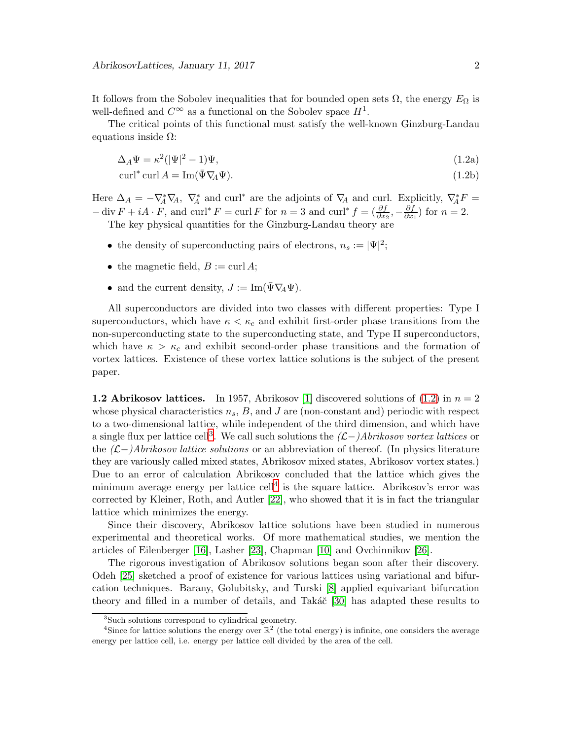It follows from the Sobolev inequalities that for bounded open sets  $\Omega$ , the energy  $E_{\Omega}$  is well-defined and  $C^{\infty}$  as a functional on the Sobolev space  $H^1$ .

The critical points of this functional must satisfy the well-known Ginzburg-Landau equations inside  $Ω$ :

<span id="page-1-0"></span>
$$
\Delta_A \Psi = \kappa^2 (|\Psi|^2 - 1)\Psi,\tag{1.2a}
$$

$$
\operatorname{curl}^* \operatorname{curl} A = \operatorname{Im}(\bar{\Psi} \nabla_A \Psi). \tag{1.2b}
$$

Here  $\Delta_A = -\nabla_A^* \nabla_A$ ,  $\nabla_A^*$  and curl<sup>\*</sup> are the adjoints of  $\nabla_A$  and curl. Explicitly,  $\nabla_A^* F =$  $-\operatorname{div} F + iA \cdot F$ , and  $\operatorname{curl}^* F = \operatorname{curl} F$  for  $n = 3$  and  $\operatorname{curl}^* f = \left(\frac{\partial f}{\partial x_2}, -\frac{\partial f}{\partial x}\right)$  $\frac{\partial f}{\partial x_1}$  for  $n=2$ .

The key physical quantities for the Ginzburg-Landau theory are

- the density of superconducting pairs of electrons,  $n_s := |\Psi|^2$ ;
- the magnetic field,  $B := \text{curl } A;$
- and the current density,  $J := \text{Im}(\bar{\Psi} \nabla_A \Psi)$ .

All superconductors are divided into two classes with different properties: Type I superconductors, which have  $\kappa < \kappa_c$  and exhibit first-order phase transitions from the non-superconducting state to the superconducting state, and Type II superconductors, which have  $\kappa > \kappa_c$  and exhibit second-order phase transitions and the formation of vortex lattices. Existence of these vortex lattice solutions is the subject of the present paper.

**1.2 Abrikosov lattices.** In 1957, Abrikosov [\[1\]](#page-37-0) discovered solutions of  $(1.2)$  in  $n = 2$ whose physical characteristics  $n_s$ , B, and J are (non-constant and) periodic with respect to a two-dimensional lattice, while independent of the third dimension, and which have a single flux per lattice cell<sup>[3](#page-1-1)</sup>. We call such solutions the  $(L-)Abrikosov vortex lattices$  or the  $(L-)Abrikosov lattice solutions$  or an abbreviation of thereof. (In physics literature they are variously called mixed states, Abrikosov mixed states, Abrikosov vortex states.) Due to an error of calculation Abrikosov concluded that the lattice which gives the minimum average energy per lattice cell<sup>[4](#page-1-2)</sup> is the square lattice. Abrikosov's error was corrected by Kleiner, Roth, and Autler [\[22\]](#page-38-5), who showed that it is in fact the triangular lattice which minimizes the energy.

Since their discovery, Abrikosov lattice solutions have been studied in numerous experimental and theoretical works. Of more mathematical studies, we mention the articles of Eilenberger [\[16\]](#page-38-6), Lasher [\[23\]](#page-39-3), Chapman [\[10\]](#page-38-7) and Ovchinnikov [\[26\]](#page-39-4).

The rigorous investigation of Abrikosov solutions began soon after their discovery. Odeh [\[25\]](#page-39-5) sketched a proof of existence for various lattices using variational and bifurcation techniques. Barany, Golubitsky, and Turski [\[8\]](#page-38-8) applied equivariant bifurcation theory and filled in a number of details, and Taká $\check{c}$  [\[30\]](#page-39-6) has adapted these results to

<span id="page-1-1"></span><sup>3</sup> Such solutions correspond to cylindrical geometry.

<span id="page-1-2"></span><sup>&</sup>lt;sup>4</sup>Since for lattice solutions the energy over  $\mathbb{R}^2$  (the total energy) is infinite, one considers the average energy per lattice cell, i.e. energy per lattice cell divided by the area of the cell.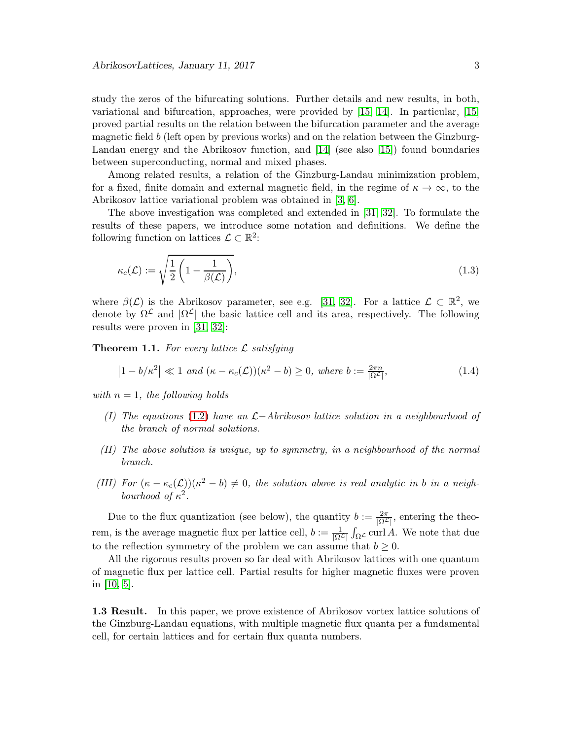study the zeros of the bifurcating solutions. Further details and new results, in both, variational and bifurcation, approaches, were provided by [\[15,](#page-38-9) [14\]](#page-38-10). In particular, [\[15\]](#page-38-9) proved partial results on the relation between the bifurcation parameter and the average magnetic field b (left open by previous works) and on the relation between the Ginzburg-Landau energy and the Abrikosov function, and [\[14\]](#page-38-10) (see also [\[15\]](#page-38-9)) found boundaries between superconducting, normal and mixed phases.

Among related results, a relation of the Ginzburg-Landau minimization problem, for a fixed, finite domain and external magnetic field, in the regime of  $\kappa \to \infty$ , to the Abrikosov lattice variational problem was obtained in [\[3,](#page-37-1) [6\]](#page-37-2).

The above investigation was completed and extended in [\[31,](#page-39-7) [32\]](#page-39-8). To formulate the results of these papers, we introduce some notation and definitions. We define the following function on lattices  $\mathcal{L} \subset \mathbb{R}^2$ :

$$
\kappa_c(\mathcal{L}) := \sqrt{\frac{1}{2} \left( 1 - \frac{1}{\beta(\mathcal{L})} \right)},\tag{1.3}
$$

where  $\beta(\mathcal{L})$  is the Abrikosov parameter, see e.g. [\[31,](#page-39-7) [32\]](#page-39-8). For a lattice  $\mathcal{L} \subset \mathbb{R}^2$ , we denote by  $\Omega^{\mathcal{L}}$  and  $|\Omega^{\mathcal{L}}|$  the basic lattice cell and its area, respectively. The following results were proven in [\[31,](#page-39-7) [32\]](#page-39-8):

<span id="page-2-0"></span>**Theorem 1.1.** For every lattice  $\mathcal{L}$  satisfying

<span id="page-2-1"></span>
$$
\left|1 - b/\kappa^2\right| \ll 1 \text{ and } (\kappa - \kappa_c(\mathcal{L}))(\kappa^2 - b) \ge 0, \text{ where } b := \frac{2\pi n}{|\Omega^{\mathcal{L}}|},\tag{1.4}
$$

with  $n = 1$ , the following holds

- (I) The equations [\(1.2\)](#page-1-0) have an  $\mathcal{L}-Abrikosov$  lattice solution in a neighbourhood of the branch of normal solutions.
- (II) The above solution is unique, up to symmetry, in a neighbourhood of the normal branch.
- (III) For  $(\kappa \kappa_c(\mathcal{L}))(\kappa^2 b) \neq 0$ , the solution above is real analytic in b in a neighbourhood of  $\kappa^2$ .

Due to the flux quantization (see below), the quantity  $b := \frac{2\pi}{|\Omega^2|}$ , entering the theorem, is the average magnetic flux per lattice cell,  $b := \frac{1}{|\Omega^2|}$  $\int_{\Omega} \mathcal{L} \, \text{curl} \, A$ . We note that due to the reflection symmetry of the problem we can assume that  $b \geq 0$ .

All the rigorous results proven so far deal with Abrikosov lattices with one quantum of magnetic flux per lattice cell. Partial results for higher magnetic fluxes were proven in [\[10,](#page-38-7) [5\]](#page-37-3).

1.3 Result. In this paper, we prove existence of Abrikosov vortex lattice solutions of the Ginzburg-Landau equations, with multiple magnetic flux quanta per a fundamental cell, for certain lattices and for certain flux quanta numbers.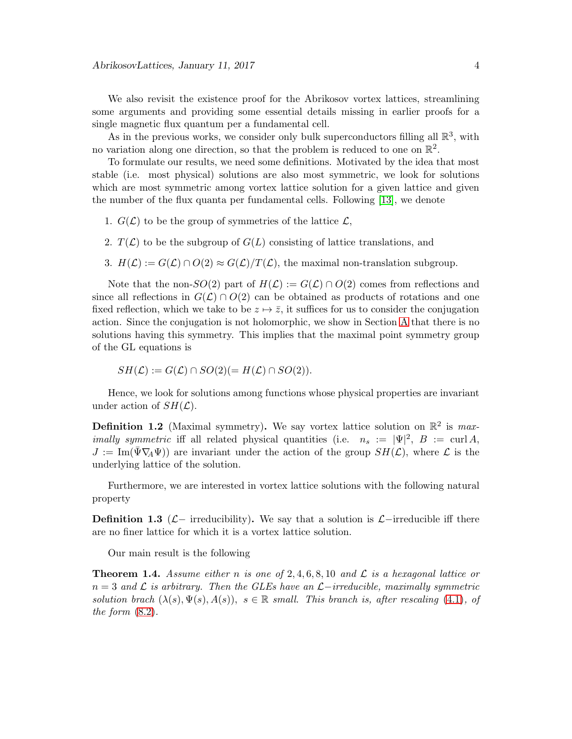We also revisit the existence proof for the Abrikosov vortex lattices, streamlining some arguments and providing some essential details missing in earlier proofs for a single magnetic flux quantum per a fundamental cell.

As in the previous works, we consider only bulk superconductors filling all  $\mathbb{R}^3$ , with no variation along one direction, so that the problem is reduced to one on  $\mathbb{R}^2$ .

To formulate our results, we need some definitions. Motivated by the idea that most stable (i.e. most physical) solutions are also most symmetric, we look for solutions which are most symmetric among vortex lattice solution for a given lattice and given the number of the flux quanta per fundamental cells. Following [\[13\]](#page-38-11), we denote

- 1.  $G(\mathcal{L})$  to be the group of symmetries of the lattice  $\mathcal{L}$ ,
- 2.  $T(\mathcal{L})$  to be the subgroup of  $G(L)$  consisting of lattice translations, and
- 3.  $H(\mathcal{L}) := G(\mathcal{L}) \cap O(2) \approx G(\mathcal{L})/T(\mathcal{L})$ , the maximal non-translation subgroup.

Note that the non- $SO(2)$  part of  $H(\mathcal{L}) := G(\mathcal{L}) \cap O(2)$  comes from reflections and since all reflections in  $G(\mathcal{L}) \cap O(2)$  can be obtained as products of rotations and one fixed reflection, which we take to be  $z \mapsto \overline{z}$ , it suffices for us to consider the conjugation action. Since the conjugation is not holomorphic, we show in Section [A](#page-29-0) that there is no solutions having this symmetry. This implies that the maximal point symmetry group of the GL equations is

$$
SH(\mathcal{L}) := G(\mathcal{L}) \cap SO(2) (= H(\mathcal{L}) \cap SO(2)).
$$

Hence, we look for solutions among functions whose physical properties are invariant under action of  $SH(\mathcal{L})$ .

**Definition 1.2** (Maximal symmetry). We say vortex lattice solution on  $\mathbb{R}^2$  is max*imally symmetric* iff all related physical quantities (i.e.  $n_s := |\Psi|^2$ ,  $B := \text{curl } A$ ,  $J := \text{Im}(\bar{\Psi} \nabla_A \Psi)$  are invariant under the action of the group  $SH(\mathcal{L})$ , where  $\mathcal{L}$  is the underlying lattice of the solution.

Furthermore, we are interested in vortex lattice solutions with the following natural property

**Definition 1.3** ( $\mathcal{L}-$  irreducibility). We say that a solution is  $\mathcal{L}-$ irreducible iff there are no finer lattice for which it is a vortex lattice solution.

Our main result is the following

<span id="page-3-0"></span>**Theorem 1.4.** Assume either n is one of 2,4,6,8,10 and  $\mathcal{L}$  is a hexagonal lattice or  $n = 3$  and  $\mathcal L$  is arbitrary. Then the GLEs have an  $\mathcal L$ -irreducible, maximally symmetric solution brach  $(\lambda(s), \Psi(s), A(s))$ ,  $s \in \mathbb{R}$  small. This branch is, after rescaling [\(4.1\)](#page-6-0), of the form  $(8.2)$ .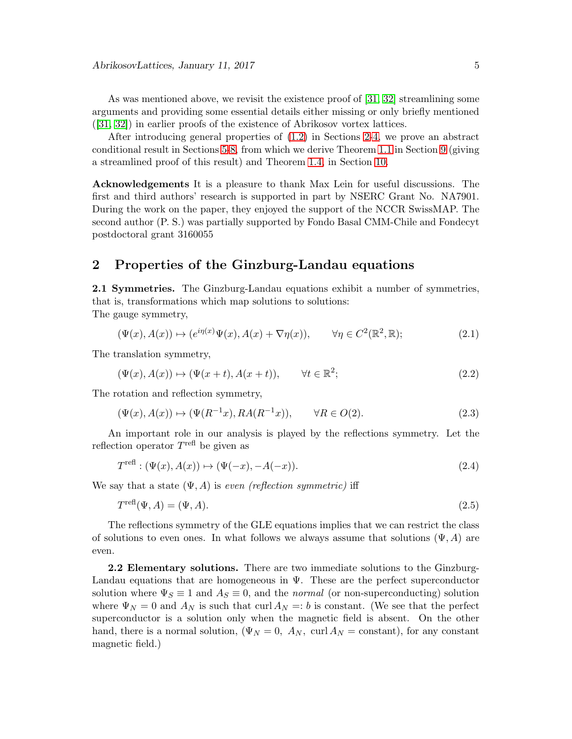As was mentioned above, we revisit the existence proof of [\[31,](#page-39-7) [32\]](#page-39-8) streamlining some arguments and providing some essential details either missing or only briefly mentioned ([\[31,](#page-39-7) [32\]](#page-39-8)) in earlier proofs of the existence of Abrikosov vortex lattices.

After introducing general properties of [\(1.2\)](#page-1-0) in Sections [2](#page-4-0)[-4,](#page-6-1) we prove an abstract conditional result in Sections [5-](#page-7-0)[8,](#page-14-1) from which we derive Theorem [1.1](#page-2-0) in Section [9](#page-16-0) (giving a streamlined proof of this result) and Theorem [1.4,](#page-3-0) in Section [10.](#page-16-1)

Acknowledgements It is a pleasure to thank Max Lein for useful discussions. The first and third authors' research is supported in part by NSERC Grant No. NA7901. During the work on the paper, they enjoyed the support of the NCCR SwissMAP. The second author (P. S.) was partially supported by Fondo Basal CMM-Chile and Fondecyt postdoctoral grant 3160055

## <span id="page-4-0"></span>2 Properties of the Ginzburg-Landau equations

2.1 Symmetries. The Ginzburg-Landau equations exhibit a number of symmetries, that is, transformations which map solutions to solutions: The gauge symmetry,

$$
(\Psi(x), A(x)) \mapsto (e^{i\eta(x)}\Psi(x), A(x) + \nabla\eta(x)), \qquad \forall \eta \in C^2(\mathbb{R}^2, \mathbb{R});
$$
\n(2.1)

The translation symmetry,

$$
(\Psi(x), A(x)) \mapsto (\Psi(x+t), A(x+t)), \qquad \forall t \in \mathbb{R}^2; \tag{2.2}
$$

The rotation and reflection symmetry,

$$
(\Psi(x), A(x)) \mapsto (\Psi(R^{-1}x), RA(R^{-1}x)), \qquad \forall R \in O(2). \tag{2.3}
$$

An important role in our analysis is played by the reflections symmetry. Let the reflection operator  $T^{\text{refl}}$  be given as

$$
T^{\text{refl}} : (\Psi(x), A(x)) \mapsto (\Psi(-x), -A(-x)). \tag{2.4}
$$

We say that a state  $(\Psi, A)$  is even (reflection symmetric) iff

$$
T^{\text{refl}}(\Psi, A) = (\Psi, A). \tag{2.5}
$$

The reflections symmetry of the GLE equations implies that we can restrict the class of solutions to even ones. In what follows we always assume that solutions  $(\Psi, A)$  are even.

2.2 Elementary solutions. There are two immediate solutions to the Ginzburg-Landau equations that are homogeneous in  $\Psi$ . These are the perfect superconductor solution where  $\Psi_S \equiv 1$  and  $A_S \equiv 0$ , and the *normal* (or non-superconducting) solution where  $\Psi_N = 0$  and  $A_N$  is such that curl  $A_N = b$  is constant. (We see that the perfect superconductor is a solution only when the magnetic field is absent. On the other hand, there is a normal solution,  $(\Psi_N = 0, A_N, \text{ curl } A_N = \text{constant})$ , for any constant magnetic field.)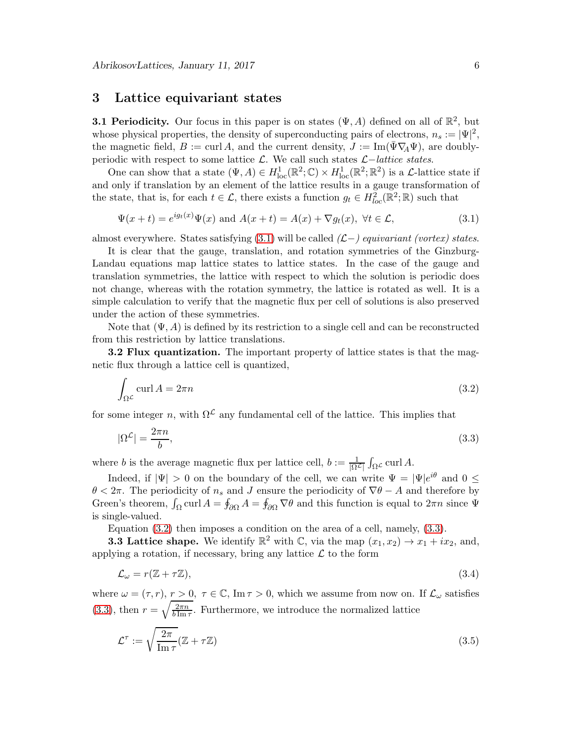## 3 Lattice equivariant states

**3.1 Periodicity.** Our focus in this paper is on states  $(\Psi, A)$  defined on all of  $\mathbb{R}^2$ , but whose physical properties, the density of superconducting pairs of electrons,  $n_s := |\Psi|^2$ , the magnetic field,  $B := \text{curl } A$ , and the current density,  $J := \text{Im}(\Psi \nabla_A \Psi)$ , are doublyperiodic with respect to some lattice  $\mathcal{L}$ . We call such states  $\mathcal{L}-lattice$  states.

One can show that a state  $(\Psi, A) \in H^1_{loc}(\mathbb{R}^2; \mathbb{C}) \times H^1_{loc}(\mathbb{R}^2; \mathbb{R}^2)$  is a *L*-lattice state if and only if translation by an element of the lattice results in a gauge transformation of the state, that is, for each  $t \in \mathcal{L}$ , there exists a function  $g_t \in H^2_{loc}(\mathbb{R}^2;\mathbb{R})$  such that

<span id="page-5-0"></span>
$$
\Psi(x+t) = e^{ig_t(x)}\Psi(x) \text{ and } A(x+t) = A(x) + \nabla g_t(x), \ \forall t \in \mathcal{L},
$$
\n(3.1)

almost everywhere. States satisfying  $(3.1)$  will be called  $(L-)$  *equivariant (vortex) states.* 

It is clear that the gauge, translation, and rotation symmetries of the Ginzburg-Landau equations map lattice states to lattice states. In the case of the gauge and translation symmetries, the lattice with respect to which the solution is periodic does not change, whereas with the rotation symmetry, the lattice is rotated as well. It is a simple calculation to verify that the magnetic flux per cell of solutions is also preserved under the action of these symmetries.

Note that  $(\Psi, A)$  is defined by its restriction to a single cell and can be reconstructed from this restriction by lattice translations.

3.2 Flux quantization. The important property of lattice states is that the magnetic flux through a lattice cell is quantized,

<span id="page-5-1"></span>
$$
\int_{\Omega^{\mathcal{L}}} \operatorname{curl} A = 2\pi n \tag{3.2}
$$

for some integer n, with  $\Omega^{\mathcal{L}}$  any fundamental cell of the lattice. This implies that

<span id="page-5-2"></span>
$$
|\Omega^{\mathcal{L}}| = \frac{2\pi n}{b},\tag{3.3}
$$

where *b* is the average magnetic flux per lattice cell,  $b := \frac{1}{|\Omega^2|}$  $\int_{\Omega} \mathcal{L} \, \text{curl} \, A.$ 

Indeed, if  $|\Psi| > 0$  on the boundary of the cell, we can write  $\Psi = |\Psi|e^{i\theta}$  and  $0 \leq$  $\theta < 2\pi$ . The periodicity of  $n_s$  and J ensure the periodicity of  $\nabla \theta - A$  and therefore by Green's theorem,  $\int_{\Omega}$  curl  $A = \oint_{\partial \Omega} A = \oint_{\partial \Omega} \nabla \theta$  and this function is equal to  $2\pi n$  since  $\Psi$ is single-valued.

Equation [\(3.2\)](#page-5-1) then imposes a condition on the area of a cell, namely, [\(3.3\)](#page-5-2).

**3.3 Lattice shape.** We identify  $\mathbb{R}^2$  with C, via the map  $(x_1, x_2) \rightarrow x_1 + ix_2$ , and, applying a rotation, if necessary, bring any lattice  $\mathcal L$  to the form

<span id="page-5-3"></span>
$$
\mathcal{L}_{\omega} = r(\mathbb{Z} + \tau \mathbb{Z}),\tag{3.4}
$$

where  $\omega = (\tau, r), r > 0, \tau \in \mathbb{C}$ , Im  $\tau > 0$ , which we assume from now on. If  $\mathcal{L}_{\omega}$  satisfies  $(3.3)$ , then  $r = \sqrt{\frac{2\pi n}{b \operatorname{Im}^2}}$  $\frac{2\pi n}{b \ln \tau}$ . Furthermore, we introduce the normalized lattice

<span id="page-5-4"></span>
$$
\mathcal{L}^{\tau} := \sqrt{\frac{2\pi}{\operatorname{Im} \tau}} (\mathbb{Z} + \tau \mathbb{Z}) \tag{3.5}
$$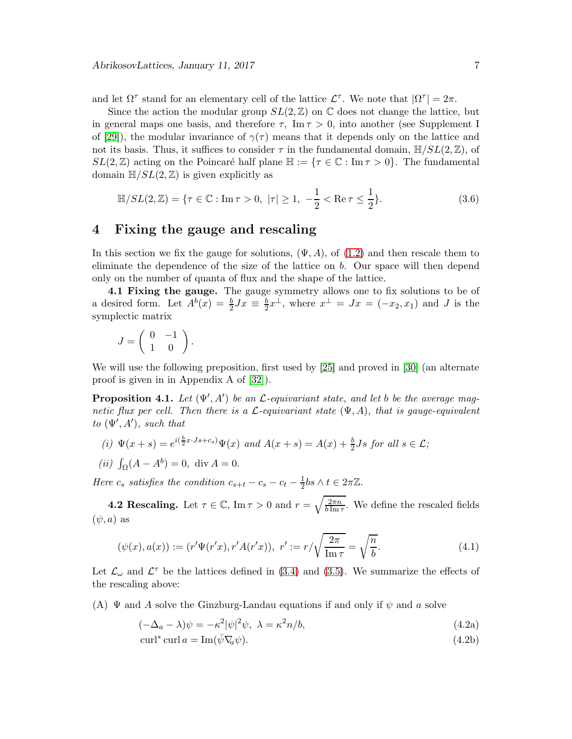and let  $\Omega^{\tau}$  stand for an elementary cell of the lattice  $\mathcal{L}^{\tau}$ . We note that  $|\Omega^{\tau}| = 2\pi$ .

Since the action the modular group  $SL(2,\mathbb{Z})$  on  $\mathbb C$  does not change the lattice, but in general maps one basis, and therefore  $\tau$ , Im  $\tau > 0$ , into another (see Supplement I of [\[29\]](#page-39-0)), the modular invariance of  $\gamma(\tau)$  means that it depends only on the lattice and not its basis. Thus, it suffices to consider  $\tau$  in the fundamental domain,  $\mathbb{H}/SL(2,\mathbb{Z})$ , of  $SL(2,\mathbb{Z})$  acting on the Poincaré half plane  $\mathbb{H} := \{ \tau \in \mathbb{C} : \text{Im}\,\tau > 0 \}$ . The fundamental domain  $\mathbb{H}/SL(2,\mathbb{Z})$  is given explicitly as

$$
\mathbb{H}/SL(2,\mathbb{Z}) = \{\tau \in \mathbb{C} : \text{Im}\,\tau > 0, \ |\tau| \ge 1, \ -\frac{1}{2} < \text{Re}\,\tau \le \frac{1}{2}\}. \tag{3.6}
$$

## <span id="page-6-1"></span>4 Fixing the gauge and rescaling

In this section we fix the gauge for solutions,  $(\Psi, A)$ , of  $(1.2)$  and then rescale them to eliminate the dependence of the size of the lattice on b. Our space will then depend only on the number of quanta of flux and the shape of the lattice.

4.1 Fixing the gauge. The gauge symmetry allows one to fix solutions to be of a desired form. Let  $A^b(x) = \frac{b}{2}Jx \equiv \frac{b}{2}x^{\perp}$ , where  $x^{\perp} = Jx = (-x_2, x_1)$  and J is the symplectic matrix

$$
J = \left( \begin{array}{cc} 0 & -1 \\ 1 & 0 \end{array} \right).
$$

We will use the following preposition, first used by [\[25\]](#page-39-5) and proved in [\[30\]](#page-39-6) (an alternate proof is given in in Appendix A of [\[32\]](#page-39-8)).

<span id="page-6-2"></span>**Proposition 4.1.** Let  $(\Psi', A')$  be an  $\mathcal{L}$ -equivariant state, and let b be the average magnetic flux per cell. Then there is a  $\mathcal{L}$ -equivariant state  $(\Psi, A)$ , that is gauge-equivalent to  $(\Psi', A')$ , such that

(i) 
$$
\Psi(x+s) = e^{i(\frac{b}{2}x \cdot Js + c_s)} \Psi(x)
$$
 and  $A(x+s) = A(x) + \frac{b}{2}Js$  for all  $s \in \mathcal{L}$ ;

(*ii*) 
$$
\int_{\Omega} (A - A^b) = 0
$$
, div  $A = 0$ .

Here  $c_s$  satisfies the condition  $c_{s+t} - c_s - c_t - \frac{1}{2}$  $\frac{1}{2}$ bs  $\wedge t \in 2\pi\mathbb{Z}$ .

**4.2 Rescaling.** Let  $\tau \in \mathbb{C}$ , Im  $\tau > 0$  and  $r = \sqrt{\frac{2\pi n}{b \text{ Im } \tau}}$  $\frac{2\pi n}{b\operatorname{Im}\tau}$ . We define the rescaled fields  $(\psi, a)$  as

$$
(\psi(x), a(x)) := (r'\Psi(r'x), r'A(r'x)), \ r' := r/\sqrt{\frac{2\pi}{\text{Im }\tau}} = \sqrt{\frac{n}{b}}.
$$
\n(4.1)

Let  $\mathcal{L}_{\omega}$  and  $\mathcal{L}^{\tau}$  be the lattices defined in [\(3.4\)](#page-5-3) and [\(3.5\)](#page-5-4). We summarize the effects of the rescaling above:

(A)  $\Psi$  and A solve the Ginzburg-Landau equations if and only if  $\psi$  and a solve

<span id="page-6-0"></span>
$$
(-\Delta_a - \lambda)\psi = -\kappa^2 |\psi|^2 \psi, \ \lambda = \kappa^2 n/b,
$$
\n(4.2a)

<span id="page-6-3"></span>
$$
\operatorname{curl}^* \operatorname{curl} a = \operatorname{Im}(\bar{\psi} \nabla_a \psi). \tag{4.2b}
$$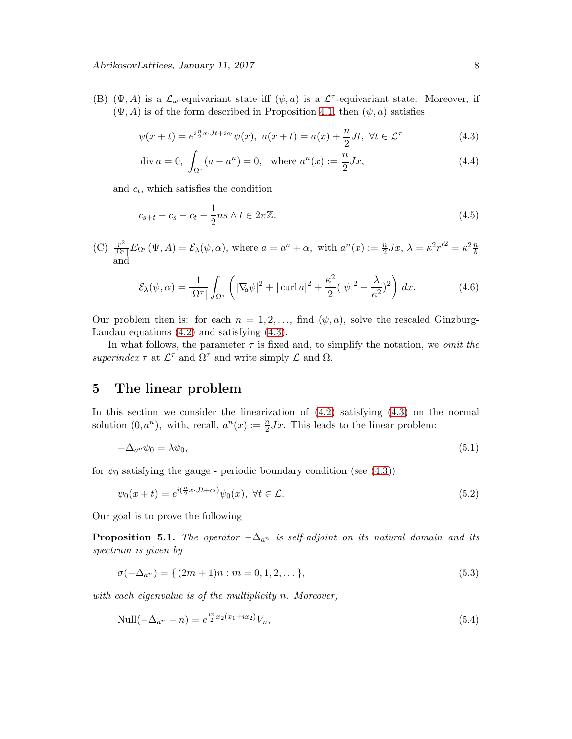(B)  $(\Psi, A)$  is a  $\mathcal{L}_{\omega}$ -equivariant state iff  $(\psi, a)$  is a  $\mathcal{L}^{\tau}$ -equivariant state. Moreover, if  $(\Psi, A)$  is of the form described in Proposition [4.1,](#page-6-2) then  $(\psi, a)$  satisfies

$$
\psi(x+t) = e^{i\frac{n}{2}x \cdot Jt + ict} \psi(x), \ a(x+t) = a(x) + \frac{n}{2}Jt, \ \forall t \in \mathcal{L}^{\tau}
$$
\n
$$
(4.3)
$$

<span id="page-7-3"></span><span id="page-7-1"></span>
$$
\text{div } a = 0, \int_{\Omega^{\tau}} (a - a^n) = 0, \text{ where } a^n(x) := \frac{n}{2} Jx,
$$
\n(4.4)

and  $c_t$ , which satisfies the condition

<span id="page-7-4"></span>
$$
c_{s+t} - c_s - c_t - \frac{1}{2}ns \wedge t \in 2\pi\mathbb{Z}.
$$
\n
$$
(4.5)
$$

(C) 
$$
\frac{r^2}{|\Omega^{\tau}|} E_{\Omega^{\tau}}(\Psi, A) = \mathcal{E}_{\lambda}(\psi, \alpha)
$$
, where  $a = a^n + \alpha$ , with  $a^n(x) := \frac{n}{2} Jx$ ,  $\lambda = \kappa^2 r'^2 = \kappa^2 \frac{n}{b}$  and

$$
\mathcal{E}_{\lambda}(\psi,\alpha) = \frac{1}{|\Omega^{\tau}|} \int_{\Omega^{\tau}} \left( |\nabla_{\alpha}\psi|^2 + |\operatorname{curl} a|^2 + \frac{\kappa^2}{2} (|\psi|^2 - \frac{\lambda}{\kappa^2})^2 \right) dx. \tag{4.6}
$$

Our problem then is: for each  $n = 1, 2, \ldots$ , find  $(\psi, a)$ , solve the rescaled Ginzburg-Landau equations [\(4.2\)](#page-6-3) and satisfying [\(4.3\)](#page-7-1).

In what follows, the parameter  $\tau$  is fixed and, to simplify the notation, we *omit the* superindex  $\tau$  at  $\mathcal{L}^{\tau}$  and  $\Omega^{\tau}$  and write simply  $\mathcal{L}$  and  $\Omega$ .

## <span id="page-7-0"></span>5 The linear problem

In this section we consider the linearization of [\(4.2\)](#page-6-3) satisfying [\(4.3\)](#page-7-1) on the normal solution  $(0, a^n)$ , with, recall,  $a^n(x) := \frac{n}{2}Jx$ . This leads to the linear problem:

<span id="page-7-6"></span>
$$
-\Delta_{a^n}\psi_0 = \lambda\psi_0,\tag{5.1}
$$

for  $\psi_0$  satisfying the gauge - periodic boundary condition (see [\(4.3\)](#page-7-1))

<span id="page-7-7"></span>
$$
\psi_0(x+t) = e^{i(\frac{n}{2}x \cdot Jt + ct)} \psi_0(x), \ \forall t \in \mathcal{L}.\tag{5.2}
$$

Our goal is to prove the following

<span id="page-7-5"></span>**Proposition 5.1.** The operator  $-\Delta_{a^n}$  is self-adjoint on its natural domain and its spectrum is given by

<span id="page-7-2"></span>
$$
\sigma(-\Delta_{a^n}) = \{ (2m+1)n : m = 0, 1, 2, \dots \},
$$
\n(5.3)

with each eigenvalue is of the multiplicity n. Moreover,

$$
\text{Null}(-\Delta_{a^n} - n) = e^{\frac{in}{2}x_2(x_1 + ix_2)}V_n,\tag{5.4}
$$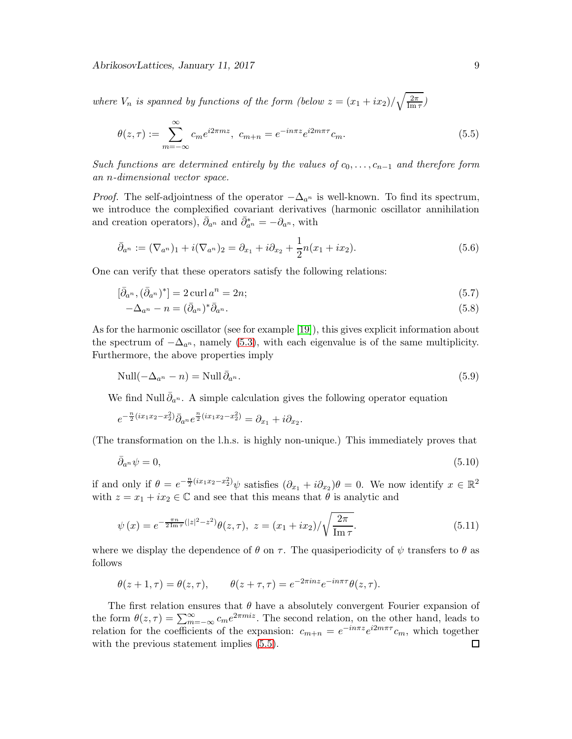AbrikosovLattices, January 11, 2017 9

where  $V_n$  is spanned by functions of the form (below  $z = (x_1 + ix_2)/\sqrt{\frac{2\pi}{\text{Im}}}$ )  $\frac{2\pi}{\text{Im}\,\tau})$ 

<span id="page-8-0"></span>
$$
\theta(z,\tau) := \sum_{m=-\infty}^{\infty} c_m e^{i2\pi mz}, \ c_{m+n} = e^{-in\pi z} e^{i2m\pi \tau} c_m.
$$
\n(5.5)

Such functions are determined entirely by the values of  $c_0, \ldots, c_{n-1}$  and therefore form an n-dimensional vector space.

*Proof.* The self-adjointness of the operator  $-\Delta_{a^n}$  is well-known. To find its spectrum, we introduce the complexified covariant derivatives (harmonic oscillator annihilation and creation operators),  $\bar{\partial}_{a^n}$  and  $\bar{\partial}_{a^n}^* = -\partial_{a^n}$ , with

$$
\bar{\partial}_{a^n} := (\nabla_{a^n})_1 + i(\nabla_{a^n})_2 = \partial_{x_1} + i\partial_{x_2} + \frac{1}{2}n(x_1 + ix_2).
$$
\n(5.6)

One can verify that these operators satisfy the following relations:

$$
[\bar{\partial}_{a^n}, (\bar{\partial}_{a^n})^*] = 2 \operatorname{curl} a^n = 2n; \tag{5.7}
$$

$$
-\Delta_{a^n} - n = (\bar{\partial}_{a^n})^* \bar{\partial}_{a^n}.
$$
\n(5.8)

As for the harmonic oscillator (see for example [\[19\]](#page-38-12)), this gives explicit information about the spectrum of  $-\Delta_{a^n}$ , namely [\(5.3\)](#page-7-2), with each eigenvalue is of the same multiplicity. Furthermore, the above properties imply

$$
\text{Null}(-\Delta_{a^n} - n) = \text{Null}\,\bar{\partial}_{a^n}.\tag{5.9}
$$

We find Null  $\bar{\partial}_{a^n}$ . A simple calculation gives the following operator equation

$$
e^{-\frac{n}{2}(ix_1x_2-x_2^2)}\bar{\partial}_{a^n}e^{\frac{n}{2}(ix_1x_2-x_2^2)} = \partial_{x_1} + i\partial_{x_2}.
$$

(The transformation on the l.h.s. is highly non-unique.) This immediately proves that

$$
\bar{\partial}_{a^n} \psi = 0,\tag{5.10}
$$

if and only if  $\theta = e^{-\frac{n}{2}(ix_1x_2 - x_2^2)}\psi$  satisfies  $(\partial_{x_1} + i\partial_{x_2})\theta = 0$ . We now identify  $x \in \mathbb{R}^2$ with  $z = x_1 + ix_2 \in \mathbb{C}$  and see that this means that  $\theta$  is analytic and

<span id="page-8-1"></span>
$$
\psi(x) = e^{-\frac{\pi n}{2 \operatorname{Im} \tau} (|z|^2 - z^2)} \theta(z, \tau), \ z = (x_1 + ix_2) / \sqrt{\frac{2\pi}{\operatorname{Im} \tau}}.
$$
\n(5.11)

where we display the dependence of  $\theta$  on  $\tau$ . The quasiperiodicity of  $\psi$  transfers to  $\theta$  as follows

$$
\theta(z+1,\tau) = \theta(z,\tau), \qquad \theta(z+\tau,\tau) = e^{-2\pi i nz} e^{-in\pi \tau} \theta(z,\tau).
$$

The first relation ensures that  $\theta$  have a absolutely convergent Fourier expansion of the form  $\theta(z,\tau) = \sum_{m=-\infty}^{\infty} c_m e^{2\pi m i z}$ . The second relation, on the other hand, leads to relation for the coefficients of the expansion:  $c_{m+n} = e^{-in\pi z}e^{i2m\pi \tau}c_m$ , which together with the previous statement implies  $(5.5)$ .  $\Box$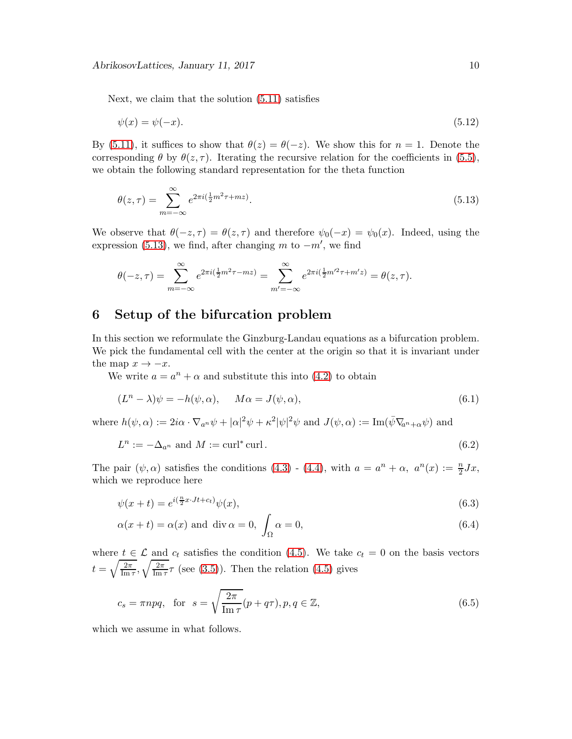Next, we claim that the solution [\(5.11\)](#page-8-1) satisfies

$$
\psi(x) = \psi(-x). \tag{5.12}
$$

By [\(5.11\)](#page-8-1), it suffices to show that  $\theta(z) = \theta(-z)$ . We show this for  $n = 1$ . Denote the corresponding  $\theta$  by  $\theta(z, \tau)$ . Iterating the recursive relation for the coefficients in [\(5.5\)](#page-8-0), we obtain the following standard representation for the theta function

<span id="page-9-0"></span>
$$
\theta(z,\tau) = \sum_{m=-\infty}^{\infty} e^{2\pi i (\frac{1}{2}m^2\tau + mz)}.
$$
\n(5.13)

We observe that  $\theta(-z, \tau) = \theta(z, \tau)$  and therefore  $\psi_0(-x) = \psi_0(x)$ . Indeed, using the expression [\(5.13\)](#page-9-0), we find, after changing m to  $-m'$ , we find

$$
\theta(-z,\tau) = \sum_{m=-\infty}^{\infty} e^{2\pi i (\frac{1}{2}m^2 \tau - mz)} = \sum_{m'=-\infty}^{\infty} e^{2\pi i (\frac{1}{2}m'^2 \tau + m'z)} = \theta(z,\tau).
$$

## 6 Setup of the bifurcation problem

In this section we reformulate the Ginzburg-Landau equations as a bifurcation problem. We pick the fundamental cell with the center at the origin so that it is invariant under the map  $x \to -x$ .

We write  $a = a^n + \alpha$  and substitute this into [\(4.2\)](#page-6-3) to obtain

<span id="page-9-4"></span><span id="page-9-1"></span>
$$
(Ln - \lambda)\psi = -h(\psi, \alpha), \qquad M\alpha = J(\psi, \alpha), \tag{6.1}
$$

where  $h(\psi, \alpha) := 2i\alpha \cdot \nabla_{a^n}\psi + |\alpha|^2\psi + \kappa^2|\psi|^2\psi$  and  $J(\psi, \alpha) := \text{Im}(\bar{\psi}\nabla_{a^n+\alpha}\psi)$  and

$$
L^n := -\Delta_{a^n} \text{ and } M := \text{curl}^* \text{curl}.
$$
 (6.2)

The pair  $(\psi, \alpha)$  satisfies the conditions  $(4.3)$  -  $(4.4)$ , with  $a = a^n + \alpha$ ,  $a^n(x) := \frac{n}{2} Jx$ , which we reproduce here

$$
\psi(x+t) = e^{i(\frac{n}{2}x \cdot Jt + ct)} \psi(x),\tag{6.3}
$$

<span id="page-9-3"></span><span id="page-9-2"></span>
$$
\alpha(x+t) = \alpha(x) \text{ and } \text{div}\,\alpha = 0, \int_{\Omega} \alpha = 0,
$$
\n(6.4)

where  $t \in \mathcal{L}$  and  $c_t$  satisfies the condition [\(4.5\)](#page-7-4). We take  $c_t = 0$  on the basis vectors  $t=\sqrt{\frac{2\pi}{\text{Im}^2}}$  $\frac{2\pi}{\text{Im }\tau}, \sqrt{\frac{2\pi}{\text{Im }\tau}}$  $\frac{2\pi}{\text{Im}\,\tau}\tau$  (see [\(3.5\)](#page-5-4)). Then the relation [\(4.5\)](#page-7-4) gives

<span id="page-9-5"></span>
$$
c_s = \pi npq, \text{ for } s = \sqrt{\frac{2\pi}{\text{Im}\,\tau}}(p + q\tau), p, q \in \mathbb{Z}, \tag{6.5}
$$

which we assume in what follows.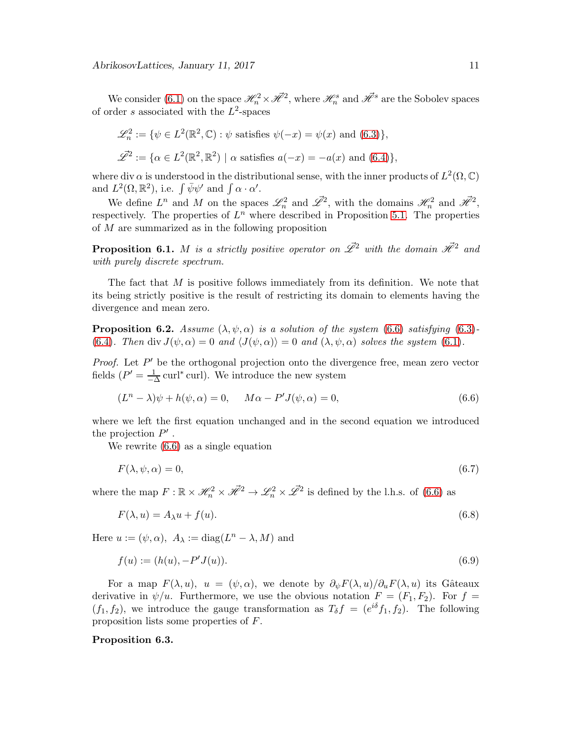We consider [\(6.1\)](#page-9-1) on the space  $\mathcal{H}^2_n \times \mathcal{H}^2$ , where  $\mathcal{H}^s_n$  and  $\mathcal{H}^s$  are the Sobolev spaces of order s associated with the  $L^2$ -spaces

$$
\mathcal{L}_n^2 := \{ \psi \in L^2(\mathbb{R}^2, \mathbb{C}) : \psi \text{ satisfies } \psi(-x) = \psi(x) \text{ and } (6.3) \},
$$
  

$$
\mathcal{L}^2 := \{ \alpha \in L^2(\mathbb{R}^2, \mathbb{R}^2) \mid \alpha \text{ satisfies } a(-x) = -a(x) \text{ and } (6.4) \},
$$

where div  $\alpha$  is understood in the distributional sense, with the inner products of  $L^2(\Omega,\mathbb{C})$ and  $L^2(\Omega, \mathbb{R}^2)$ , i.e.  $\int \bar{\psi} \psi'$  and  $\int \alpha \cdot \alpha'$ .

We define  $L^n$  and M on the spaces  $\mathscr{L}_n^2$  and  $\mathscr{L}^2$ , with the domains  $\mathscr{H}_n^2$  and  $\mathscr{H}^2$ , respectively. The properties of  $L^n$  where described in Proposition [5.1.](#page-7-5) The properties of M are summarized as in the following proposition

<span id="page-10-4"></span>**Proposition 6.1.** M is a strictly positive operator on  $\mathscr{L}^2$  with the domain  $\mathscr{H}^2$  and with purely discrete spectrum.

The fact that M is positive follows immediately from its definition. We note that its being strictly positive is the result of restricting its domain to elements having the divergence and mean zero.

<span id="page-10-1"></span>**Proposition 6.2.** Assume  $(\lambda, \psi, \alpha)$  is a solution of the system [\(6.6\)](#page-10-0) satisfying [\(6.3\)](#page-9-2)-[\(6.4\)](#page-9-3). Then div  $J(\psi, \alpha) = 0$  and  $\langle J(\psi, \alpha) \rangle = 0$  and  $(\lambda, \psi, \alpha)$  solves the system [\(6.1\)](#page-9-1).

*Proof.* Let  $P'$  be the orthogonal projection onto the divergence free, mean zero vector fields  $(P' = \frac{1}{\sqrt{2}})$  $\frac{1}{-\Delta}$  curl<sup>\*</sup> curl). We introduce the new system

<span id="page-10-0"></span>
$$
(Ln - \lambda)\psi + h(\psi, \alpha) = 0, \qquad M\alpha - P'J(\psi, \alpha) = 0,
$$
\n(6.6)

where we left the first equation unchanged and in the second equation we introduced the projection  $P'$ .

We rewrite [\(6.6\)](#page-10-0) as a single equation

<span id="page-10-6"></span>
$$
F(\lambda, \psi, \alpha) = 0,\tag{6.7}
$$

where the map  $F: \mathbb{R} \times \mathcal{H}_n^2 \times \mathcal{H}^2 \to \mathcal{L}_n^2 \times \mathcal{L}^2$  is defined by the l.h.s. of [\(6.6\)](#page-10-0) as

<span id="page-10-3"></span><span id="page-10-2"></span>
$$
F(\lambda, u) = A_{\lambda}u + f(u). \tag{6.8}
$$

Here  $u := (\psi, \alpha)$ ,  $A_{\lambda} := \text{diag}(L^n - \lambda, M)$  and

$$
f(u) := (h(u), -P'J(u)).
$$
\n(6.9)

For a map  $F(\lambda, u)$ ,  $u = (\psi, \alpha)$ , we denote by  $\partial_{\psi} F(\lambda, u)/\partial_{u} F(\lambda, u)$  its Gâteaux derivative in  $\psi/u$ . Furthermore, we use the obvious notation  $F = (F_1, F_2)$ . For  $f =$  $(f_1, f_2)$ , we introduce the gauge transformation as  $T_\delta f = (e^{i\delta} f_1, f_2)$ . The following proposition lists some properties of F.

#### <span id="page-10-5"></span>Proposition 6.3.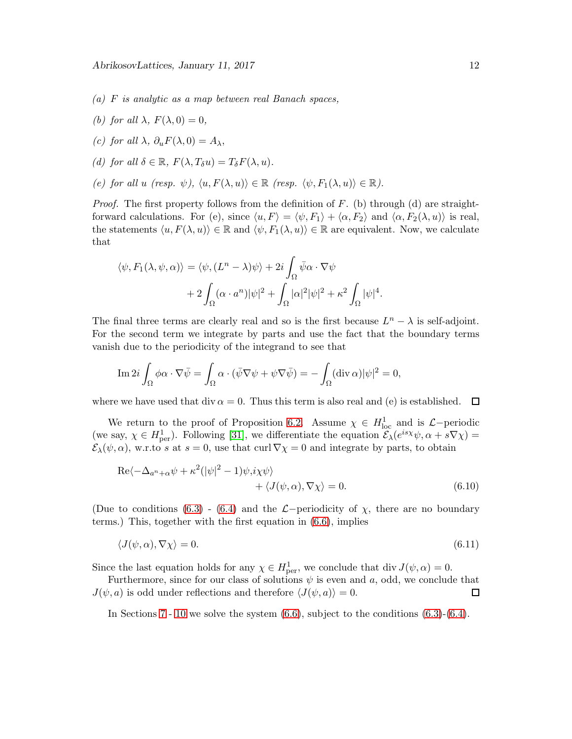- (a) F is analytic as a map between real Banach spaces,
- (b) for all  $\lambda$ ,  $F(\lambda, 0) = 0$ ,
- (c) for all  $\lambda$ ,  $\partial_u F(\lambda, 0) = A_{\lambda}$ ,
- <span id="page-11-0"></span>(d) for all  $\delta \in \mathbb{R}$ ,  $F(\lambda, T_{\delta}u) = T_{\delta}F(\lambda, u)$ .
- (e) for all u (resp.  $\psi$ ),  $\langle u, F(\lambda, u) \rangle \in \mathbb{R}$  (resp.  $\langle \psi, F_1(\lambda, u) \rangle \in \mathbb{R}$ ).

*Proof.* The first property follows from the definition of  $F$ . (b) through (d) are straightforward calculations. For (e), since  $\langle u, F \rangle = \langle \psi, F_1 \rangle + \langle \alpha, F_2 \rangle$  and  $\langle \alpha, F_2(\lambda, u) \rangle$  is real, the statements  $\langle u, F(\lambda, u) \rangle \in \mathbb{R}$  and  $\langle \psi, F_1(\lambda, u) \rangle \in \mathbb{R}$  are equivalent. Now, we calculate that

$$
\langle \psi, F_1(\lambda, \psi, \alpha) \rangle = \langle \psi, (L^n - \lambda)\psi \rangle + 2i \int_{\Omega} \bar{\psi} \alpha \cdot \nabla \psi
$$

$$
+ 2 \int_{\Omega} (\alpha \cdot a^n) |\psi|^2 + \int_{\Omega} |\alpha|^2 |\psi|^2 + \kappa^2 \int_{\Omega} |\psi|^4.
$$

The final three terms are clearly real and so is the first because  $L^n - \lambda$  is self-adjoint. For the second term we integrate by parts and use the fact that the boundary terms vanish due to the periodicity of the integrand to see that

$$
\operatorname{Im} 2i \int_{\Omega} \phi \alpha \cdot \nabla \bar{\psi} = \int_{\Omega} \alpha \cdot (\bar{\psi} \nabla \psi + \psi \nabla \bar{\psi}) = - \int_{\Omega} (\operatorname{div} \alpha) |\psi|^2 = 0,
$$

where we have used that div  $\alpha = 0$ . Thus this term is also real and (e) is established.  $\Box$ 

We return to the proof of Proposition [6.2.](#page-10-1) Assume  $\chi \in H^1_{loc}$  and is  $\mathcal{L}-$  periodic (we say,  $\chi \in H^1_{\text{per}}$ ). Following [\[31\]](#page-39-7), we differentiate the equation  $\mathcal{E}_{\lambda}(e^{is\chi}\psi, \alpha + s\nabla\chi)$  =  $\mathcal{E}_{\lambda}(\psi,\alpha)$ , w.r.to s at s = 0, use that curl  $\nabla\chi=0$  and integrate by parts, to obtain

$$
\operatorname{Re}\langle -\Delta_{a^n+\alpha}\psi + \kappa^2(|\psi|^2 - 1)\psi, i\chi\psi \rangle + \langle J(\psi, \alpha), \nabla\chi \rangle = 0.
$$
 (6.10)

(Due to conditions [\(6.3\)](#page-9-2) - [\(6.4\)](#page-9-3) and the  $\mathcal{L}-$ periodicity of  $\chi$ , there are no boundary terms.) This, together with the first equation in [\(6.6\)](#page-10-0), implies

$$
\langle J(\psi,\alpha),\nabla\chi\rangle=0.\tag{6.11}
$$

Since the last equation holds for any  $\chi \in H^1_{\text{per}}$ , we conclude that div  $J(\psi, \alpha) = 0$ .

Furthermore, since for our class of solutions  $\psi$  is even and a, odd, we conclude that  $J(\psi, a)$  is odd under reflections and therefore  $\langle J(\psi, a) \rangle = 0$ .  $\Box$ 

In Sections [7](#page-12-0) - [10](#page-16-1) we solve the system  $(6.6)$ , subject to the conditions  $(6.3)-(6.4)$  $(6.3)-(6.4)$ .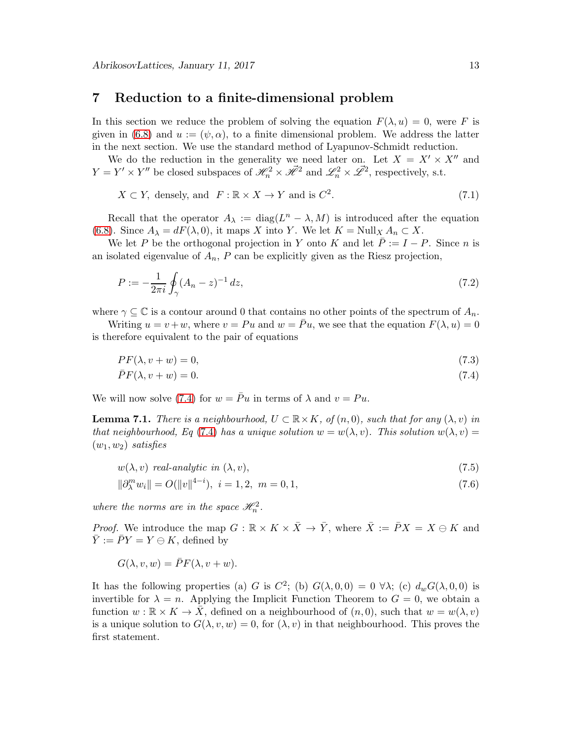## <span id="page-12-0"></span>7 Reduction to a finite-dimensional problem

In this section we reduce the problem of solving the equation  $F(\lambda, u) = 0$ , were F is given in [\(6.8\)](#page-10-2) and  $u := (\psi, \alpha)$ , to a finite dimensional problem. We address the latter in the next section. We use the standard method of Lyapunov-Schmidt reduction.

We do the reduction in the generality we need later on. Let  $X = X' \times X''$  and  $Y = Y' \times Y''$  be closed subspaces of  $\mathcal{H}_n^2 \times \mathcal{H}^2$  and  $\mathcal{L}_n^2 \times \mathcal{L}^2$ , respectively, s.t.

<span id="page-12-5"></span>
$$
X \subset Y, \text{ densely, and } F: \mathbb{R} \times X \to Y \text{ and is } C^2. \tag{7.1}
$$

Recall that the operator  $A_{\lambda} := \text{diag}(L^n - \lambda, M)$  is introduced after the equation [\(6.8\)](#page-10-2). Since  $A_{\lambda} = dF(\lambda, 0)$ , it maps X into Y. We let  $K = \text{Null}_X A_n \subset X$ .

We let P be the orthogonal projection in Y onto K and let  $\overline{P} := I - P$ . Since n is an isolated eigenvalue of  $A_n$ ,  $P$  can be explicitly given as the Riesz projection,

$$
P := -\frac{1}{2\pi i} \oint_{\gamma} (A_n - z)^{-1} dz,
$$
\n(7.2)

where  $\gamma \subseteq \mathbb{C}$  is a contour around 0 that contains no other points of the spectrum of  $A_n$ .

Writing  $u = v + w$ , where  $v = Pu$  and  $w = Pu$ , we see that the equation  $F(\lambda, u) = 0$ is therefore equivalent to the pair of equations

<span id="page-12-4"></span>
$$
PF(\lambda, v + w) = 0,\t\t(7.3)
$$

<span id="page-12-1"></span>
$$
\bar{P}F(\lambda, v + w) = 0.\tag{7.4}
$$

We will now solve [\(7.4\)](#page-12-1) for  $w = \overline{P}u$  in terms of  $\lambda$  and  $v = Pu$ .

**Lemma 7.1.** There is a neighbourhood,  $U \subset \mathbb{R} \times K$ , of  $(n,0)$ , such that for any  $(\lambda, v)$  in that neighbourhood, Eq [\(7.4\)](#page-12-1) has a unique solution  $w = w(\lambda, v)$ . This solution  $w(\lambda, v) =$  $(w_1, w_2)$  satisfies

<span id="page-12-3"></span><span id="page-12-2"></span>
$$
w(\lambda, v) \ \text{real-analytic in } (\lambda, v), \tag{7.5}
$$

$$
\|\partial_{\lambda}^{m} w_{i}\| = O(\|v\|^{4-i}), \ i = 1, 2, \ m = 0, 1,
$$
\n(7.6)

where the norms are in the space  $\mathcal{H}_n^2$ .

*Proof.* We introduce the map  $G : \mathbb{R} \times K \times \overline{X} \to \overline{Y}$ , where  $\overline{X} := \overline{P}X = X \oplus K$  and  $\overline{Y} := \overline{P}Y = Y \ominus K$ , defined by

$$
G(\lambda, v, w) = \overline{P}F(\lambda, v + w).
$$

It has the following properties (a) G is  $C^2$ ; (b)  $G(\lambda, 0, 0) = 0 \ \forall \lambda$ ; (c)  $d_w G(\lambda, 0, 0)$  is invertible for  $\lambda = n$ . Applying the Implicit Function Theorem to  $G = 0$ , we obtain a function  $w : \mathbb{R} \times K \to X$ , defined on a neighbourhood of  $(n, 0)$ , such that  $w = w(\lambda, v)$ is a unique solution to  $G(\lambda, v, w) = 0$ , for  $(\lambda, v)$  in that neighbourhood. This proves the first statement.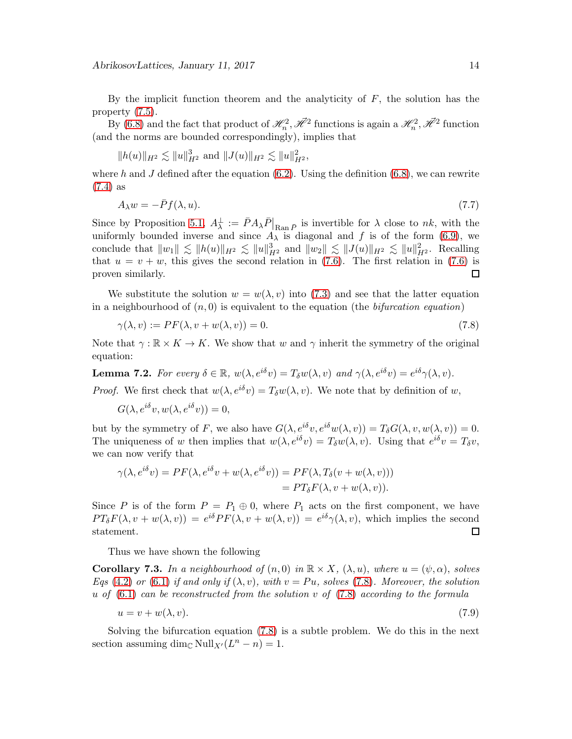By the implicit function theorem and the analyticity of  $F$ , the solution has the property [\(7.5\)](#page-12-2).

By [\(6.8\)](#page-10-2) and the fact that product of  $\mathcal{H}_n^2$ ,  $\mathcal{H}^2$  functions is again a  $\mathcal{H}_n^2$ ,  $\mathcal{H}^2$  function (and the norms are bounded correspondingly), implies that

$$
||h(u)||_{H^2} \lesssim ||u||_{H^2}^3 \text{ and } ||J(u)||_{H^2} \lesssim ||u||_{H^2}^2,
$$

where h and J defined after the equation  $(6.2)$ . Using the definition  $(6.8)$ , we can rewrite [\(7.4\)](#page-12-1) as

$$
A_{\lambda}w = -\bar{P}f(\lambda, u). \tag{7.7}
$$

Since by Proposition [5.1,](#page-7-5)  $A_{\lambda}^{\perp} := \bar{P} A_{\lambda} \bar{P} \vert_{\text{Ran} \bar{P}}$  is invertible for  $\lambda$  close to nk, with the uniformly bounded inverse and since  $A_{\lambda}$  is diagonal and f is of the form [\(6.9\)](#page-10-3), we conclude that  $||w_1|| \lesssim ||h(u)||_{H^2} \lesssim ||u||_{H^2}^3$  and  $||w_2|| \lesssim ||J(u)||_{H^2} \lesssim ||u||_{H^2}^2$ . Recalling that  $u = v + w$ , this gives the second relation in [\(7.6\)](#page-12-3). The first relation in (7.6) is proven similarly.  $\Box$ 

We substitute the solution  $w = w(\lambda, v)$  into [\(7.3\)](#page-12-4) and see that the latter equation in a neighbourhood of  $(n, 0)$  is equivalent to the equation (the *bifurcation equation*)

<span id="page-13-0"></span>
$$
\gamma(\lambda, v) := PF(\lambda, v + w(\lambda, v)) = 0. \tag{7.8}
$$

Note that  $\gamma : \mathbb{R} \times K \to K$ . We show that w and  $\gamma$  inherit the symmetry of the original equation:

<span id="page-13-1"></span>**Lemma 7.2.** For every  $\delta \in \mathbb{R}$ ,  $w(\lambda, e^{i\delta}v) = T_{\delta}w(\lambda, v)$  and  $\gamma(\lambda, e^{i\delta}v) = e^{i\delta}\gamma(\lambda, v)$ .

*Proof.* We first check that  $w(\lambda, e^{i\delta}v) = T_\delta w(\lambda, v)$ . We note that by definition of w,

$$
G(\lambda, e^{i\delta}v, w(\lambda, e^{i\delta}v)) = 0,
$$

but by the symmetry of F, we also have  $G(\lambda, e^{i\delta}v, e^{i\delta}w(\lambda, v)) = T_{\delta}G(\lambda, v, w(\lambda, v)) = 0.$ The uniqueness of w then implies that  $w(\lambda, e^{i\delta}v) = T_{\delta}w(\lambda, v)$ . Using that  $e^{i\delta}v = T_{\delta}v$ , we can now verify that

$$
\gamma(\lambda, e^{i\delta}v) = PF(\lambda, e^{i\delta}v + w(\lambda, e^{i\delta}v)) = PF(\lambda, T_{\delta}(v + w(\lambda, v)))
$$
  
= 
$$
PT_{\delta}F(\lambda, v + w(\lambda, v)).
$$

Since P is of the form  $P = P_1 \oplus 0$ , where  $P_1$  acts on the first component, we have  $PT_{\delta}F(\lambda, v + w(\lambda, v)) = e^{i\delta}PF(\lambda, v + w(\lambda, v)) = e^{i\delta}\gamma(\lambda, v)$ , which implies the second statement.  $\Box$ 

Thus we have shown the following

**Corollary 7.3.** In a neighbourhood of  $(n, 0)$  in  $\mathbb{R} \times X$ ,  $(\lambda, u)$ , where  $u = (\psi, \alpha)$ , solves Eqs [\(4.2\)](#page-6-3) or [\(6.1\)](#page-9-1) if and only if  $(\lambda, v)$ , with  $v = Pu$ , solves [\(7.8\)](#page-13-0). Moreover, the solution u of  $(6.1)$  can be reconstructed from the solution v of  $(7.8)$  according to the formula

$$
u = v + w(\lambda, v). \tag{7.9}
$$

Solving the bifurcation equation [\(7.8\)](#page-13-0) is a subtle problem. We do this in the next section assuming  $\dim_{\mathbb{C}} \text{Null}_{X'}(L^n - n) = 1.$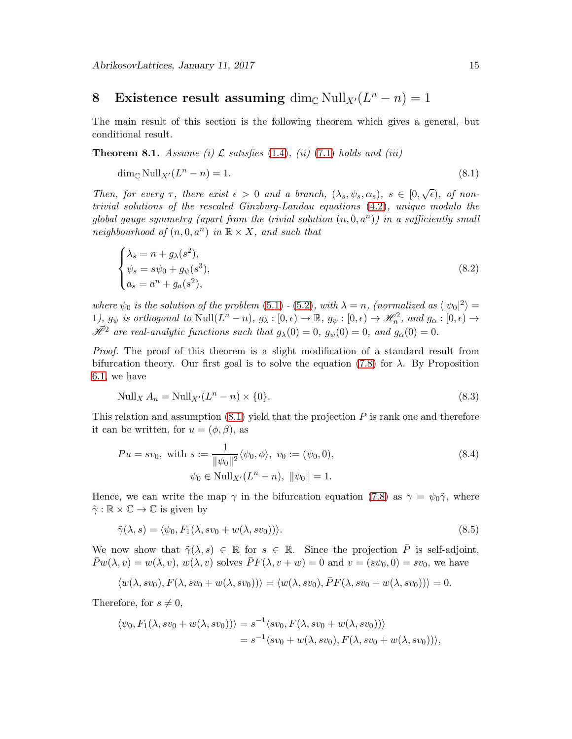# <span id="page-14-1"></span>8 Existence result assuming  $\dim_{\mathbb{C}} \text{Null}_{X'}(L^n - n) = 1$

The main result of this section is the following theorem which gives a general, but conditional result.

<span id="page-14-3"></span>**Theorem 8.1.** Assume (i)  $\mathcal{L}$  satisfies [\(1.4\)](#page-2-1), (ii) [\(7.1\)](#page-12-5) holds and (iii)

<span id="page-14-2"></span>
$$
\dim_{\mathbb{C}} \text{Null}_{X'}(L^n - n) = 1. \tag{8.1}
$$

Then, for every  $\tau$ , there exist  $\epsilon > 0$  and a branch,  $(\lambda_s, \psi_s, \alpha_s)$ ,  $s \in [0, \sqrt{\epsilon})$ , of nontrivial solutions of the rescaled Ginzburg-Landau equations [\(4.2\)](#page-6-3), unique modulo the global gauge symmetry (apart from the trivial solution  $(n, 0, a<sup>n</sup>)$ ) in a sufficiently small neighbourhood of  $(n, 0, a<sup>n</sup>)$  in  $\mathbb{R} \times X$ , and such that

<span id="page-14-0"></span>
$$
\begin{cases}\n\lambda_s = n + g_\lambda(s^2), \\
\psi_s = s\psi_0 + g_\psi(s^3), \\
a_s = a^n + g_a(s^2),\n\end{cases}
$$
\n(8.2)

where  $\psi_0$  is the solution of the problem [\(5.1\)](#page-7-6) - [\(5.2\)](#page-7-7), with  $\lambda = n$ , (normalized as  $\langle |\psi_0|^2 \rangle =$  $1, g_{\psi}$  is orthogonal to  $\text{Null}(L^n - n), g_{\lambda} : [0, \epsilon) \to \mathbb{R}, g_{\psi} : [0, \epsilon) \to \mathcal{H}_n^2$ , and  $g_{\alpha} : [0, \epsilon) \to$  $\mathscr{H}^2$  are real-analytic functions such that  $g_{\lambda}(0) = 0$ ,  $g_{\psi}(0) = 0$ , and  $g_{\alpha}(0) = 0$ .

Proof. The proof of this theorem is a slight modification of a standard result from bifurcation theory. Our first goal is to solve the equation [\(7.8\)](#page-13-0) for  $\lambda$ . By Proposition [6.1,](#page-10-4) we have

<span id="page-14-4"></span>
$$
\text{Null}_X A_n = \text{Null}_{X'} (L^n - n) \times \{0\}. \tag{8.3}
$$

This relation and assumption  $(8.1)$  yield that the projection  $P$  is rank one and therefore it can be written, for  $u = (\phi, \beta)$ , as

$$
Pu = sv_0, \text{ with } s := \frac{1}{\|\psi_0\|^2} \langle \psi_0, \phi \rangle, \ v_0 := (\psi_0, 0),
$$
  

$$
\psi_0 \in \text{Null}_{X'}(L^n - n), \ \|\psi_0\| = 1.
$$
 (8.4)

Hence, we can write the map  $\gamma$  in the bifurcation equation [\(7.8\)](#page-13-0) as  $\gamma = \psi_0 \tilde{\gamma}$ , where  $\tilde{\gamma}: \mathbb{R} \times \mathbb{C} \to \mathbb{C}$  is given by

$$
\tilde{\gamma}(\lambda, s) = \langle \psi_0, F_1(\lambda, s v_0 + w(\lambda, s v_0)) \rangle.
$$
\n(8.5)

We now show that  $\tilde{\gamma}(\lambda, s) \in \mathbb{R}$  for  $s \in \mathbb{R}$ . Since the projection  $\overline{P}$  is self-adjoint,  $\bar{P}w(\lambda, v) = w(\lambda, v), w(\lambda, v)$  solves  $\bar{P}F(\lambda, v + w) = 0$  and  $v = (s\psi_0, 0) = sv_0$ , we have

$$
\langle w(\lambda,sv_0), F(\lambda,sv_0+w(\lambda,sv_0))\rangle = \langle w(\lambda,sv_0), \bar{P}F(\lambda,sv_0+w(\lambda,sv_0))\rangle = 0.
$$

Therefore, for  $s \neq 0$ ,

$$
\langle \psi_0, F_1(\lambda, s v_0 + w(\lambda, s v_0)) \rangle = s^{-1} \langle s v_0, F(\lambda, s v_0 + w(\lambda, s v_0)) \rangle
$$
  
=  $s^{-1} \langle s v_0 + w(\lambda, s v_0), F(\lambda, s v_0 + w(\lambda, s v_0)) \rangle$ ,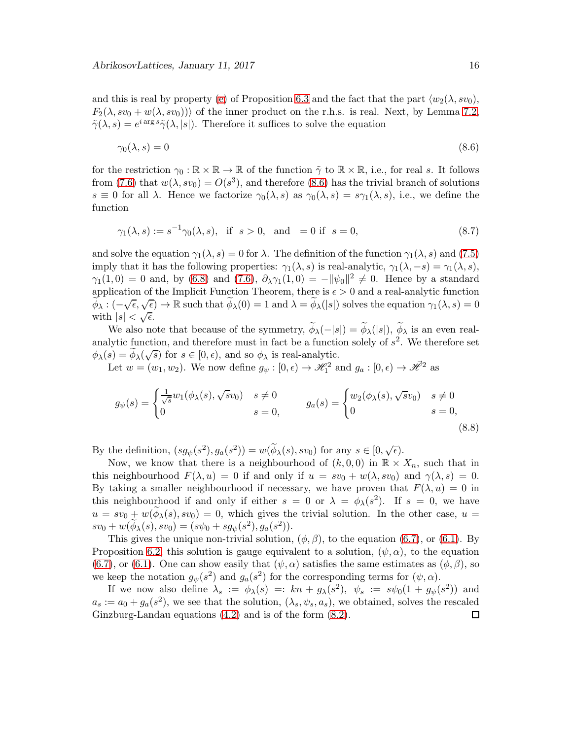and this is real by property [\(e\)](#page-11-0) of Proposition [6.3](#page-10-5) and the fact that the part  $\langle w_2(\lambda, s v_0), \rangle$  $F_2(\lambda, s v_0 + w(\lambda, s v_0))$  of the inner product on the r.h.s. is real. Next, by Lemma [7.2,](#page-13-1)  $\tilde{\gamma}(\lambda, s) = e^{i \arg s} \tilde{\gamma}(\lambda, |s|)$ . Therefore it suffices to solve the equation

<span id="page-15-0"></span>
$$
\gamma_0(\lambda, s) = 0 \tag{8.6}
$$

for the restriction  $\gamma_0 : \mathbb{R} \times \mathbb{R} \to \mathbb{R}$  of the function  $\tilde{\gamma}$  to  $\mathbb{R} \times \mathbb{R}$ , i.e., for real s. It follows from [\(7.6\)](#page-12-3) that  $w(\lambda, s v_0) = O(s^3)$ , and therefore [\(8.6\)](#page-15-0) has the trivial branch of solutions  $s \equiv 0$  for all  $\lambda$ . Hence we factorize  $\gamma_0(\lambda, s)$  as  $\gamma_0(\lambda, s) = s\gamma_1(\lambda, s)$ , i.e., we define the function

$$
\gamma_1(\lambda, s) := s^{-1} \gamma_0(\lambda, s), \text{ if } s > 0, \text{ and } = 0 \text{ if } s = 0,
$$
\n(8.7)

and solve the equation  $\gamma_1(\lambda, s) = 0$  for  $\lambda$ . The definition of the function  $\gamma_1(\lambda, s)$  and [\(7.5\)](#page-12-2) imply that it has the following properties:  $\gamma_1(\lambda, s)$  is real-analytic,  $\gamma_1(\lambda, -s) = \gamma_1(\lambda, s)$ ,  $\gamma_1(1,0) = 0$  and, by [\(6.8\)](#page-10-2) and [\(7.6\)](#page-12-3),  $\partial_{\lambda}\gamma_1(1,0) = -\|\psi_0\|^2 \neq 0$ . Hence by a standard application of the Implicit Function Theorem, there is  $\epsilon > 0$  and a real-analytic function  $\widetilde{\phi}_{\lambda}: (-\sqrt{\epsilon}, \sqrt{\epsilon}) \to \mathbb{R}$  such that  $\widetilde{\phi}_{\lambda}(0) = 1$  and  $\lambda = \widetilde{\phi}_{\lambda}(|s|)$  solves the equation  $\gamma_1(\lambda, s) = 0$ with  $|s| < \sqrt{\epsilon}$ .

We also note that because of the symmetry,  $\phi_{\lambda}(-|s|) = \phi_{\lambda}(|s|)$ ,  $\phi_{\lambda}$  is an even realanalytic function, and therefore must in fact be a function solely of  $s^2$ . We therefore set  $\phi_{\lambda}(s) = \widetilde{\phi}_{\lambda}(\sqrt{s})$  for  $s \in [0, \epsilon)$ , and so  $\phi_{\lambda}$  is real-analytic.

Let  $w = (w_1, w_2)$ . We now define  $g_{\psi} : [0, \epsilon) \to \mathcal{H}_1^2$  and  $g_a : [0, \epsilon) \to \mathcal{H}^2$  as

$$
g_{\psi}(s) = \begin{cases} \frac{1}{\sqrt{s}} w_1(\phi_{\lambda}(s), \sqrt{s}v_0) & s \neq 0\\ 0 & s = 0, \end{cases} \qquad g_a(s) = \begin{cases} w_2(\phi_{\lambda}(s), \sqrt{s}v_0) & s \neq 0\\ 0 & s = 0, \end{cases}
$$
(8.8)

By the definition,  $(sg_{\psi}(s^2), g_a(s^2)) = w(\widetilde{\phi}_{\lambda}(s), s v_0)$  for any  $s \in [0, \sqrt{\epsilon})$ .

Now, we know that there is a neighbourhood of  $(k, 0, 0)$  in  $\mathbb{R} \times X_n$ , such that in this neighbourhood  $F(\lambda, u) = 0$  if and only if  $u = sv_0 + w(\lambda, sv_0)$  and  $\gamma(\lambda, s) = 0$ . By taking a smaller neighbourhood if necessary, we have proven that  $F(\lambda, u) = 0$  in this neighbourhood if and only if either  $s = 0$  or  $\lambda = \phi_{\lambda}(s^2)$ . If  $s = 0$ , we have  $u = sv_0 + w(\phi_\lambda(s), sv_0) = 0$ , which gives the trivial solution. In the other case,  $u =$  $sv_0 + w(\widetilde{\phi}_{\lambda}(s), sv_0) = (s\psi_0 + sg_{\psi}(s^2), g_a(s^2)).$ 

This gives the unique non-trivial solution,  $(\phi, \beta)$ , to the equation [\(6.7\)](#page-10-6), or [\(6.1\)](#page-9-1). By Proposition [6.2,](#page-10-1) this solution is gauge equivalent to a solution,  $(\psi, \alpha)$ , to the equation [\(6.7\)](#page-10-6), or [\(6.1\)](#page-9-1). One can show easily that  $(\psi, \alpha)$  satisfies the same estimates as  $(\phi, \beta)$ , so we keep the notation  $g_{\psi}(s^2)$  and  $g_a(s^2)$  for the corresponding terms for  $(\psi, \alpha)$ .

If we now also define  $\lambda_s := \phi_\lambda(s) =: kn + g_\lambda(s^2), \psi_s := s\psi_0(1 + g_\psi(s^2))$  and  $a_s := a_0 + g_a(s^2)$ , we see that the solution,  $(\lambda_s, \psi_s, a_s)$ , we obtained, solves the rescaled Ginzburg-Landau equations [\(4.2\)](#page-6-3) and is of the form [\(8.2\)](#page-14-0). $\Box$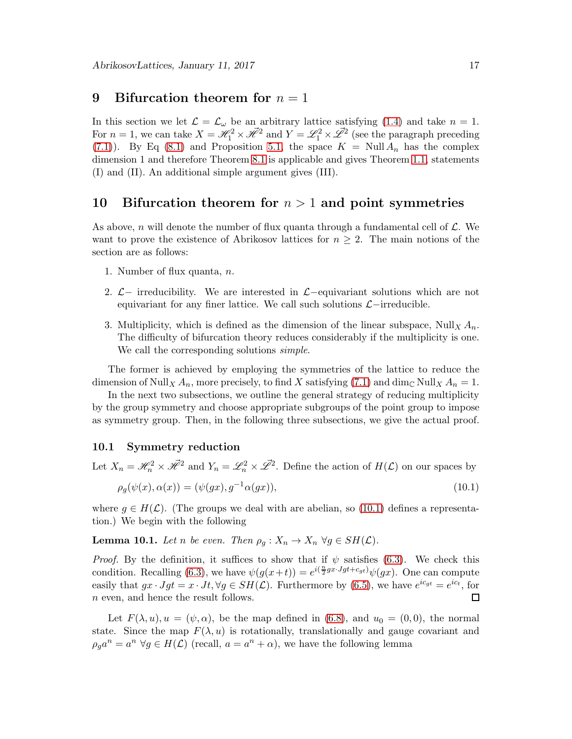## <span id="page-16-0"></span>9 Bifurcation theorem for  $n = 1$

In this section we let  $\mathcal{L} = \mathcal{L}_{\omega}$  be an arbitrary lattice satisfying [\(1.4\)](#page-2-1) and take  $n = 1$ . For  $n=1$ , we can take  $X = \mathcal{H}_1^2 \times \mathcal{H}^2$  and  $Y = \mathcal{L}_1^2 \times \mathcal{L}^2$  (see the paragraph preceding [\(7.1\)](#page-12-5)). By Eq [\(8.1\)](#page-14-2) and Proposition [5.1,](#page-7-5) the space  $K = \text{Null} A_n$  has the complex dimension 1 and therefore Theorem [8.1](#page-14-3) is applicable and gives Theorem [1.1,](#page-2-0) statements (I) and (II). An additional simple argument gives (III).

## <span id="page-16-1"></span>10 Bifurcation theorem for  $n > 1$  and point symmetries

As above, n will denote the number of flux quanta through a fundamental cell of  $\mathcal{L}$ . We want to prove the existence of Abrikosov lattices for  $n \geq 2$ . The main notions of the section are as follows:

- 1. Number of flux quanta, n.
- 2.  $\mathcal{L}-$  irreducibility. We are interested in  $\mathcal{L}-$ equivariant solutions which are not equivariant for any finer lattice. We call such solutions  $\mathcal{L}-irreducible$ .
- 3. Multiplicity, which is defined as the dimension of the linear subspace, Null<sub>X</sub>  $A_n$ . The difficulty of bifurcation theory reduces considerably if the multiplicity is one. We call the corresponding solutions *simple*.

The former is achieved by employing the symmetries of the lattice to reduce the dimension of Null<sub>X</sub>  $A_n$ , more precisely, to find X satisfying [\(7.1\)](#page-12-5) and dim<sub>C</sub> Null<sub>X</sub>  $A_n = 1$ .

In the next two subsections, we outline the general strategy of reducing multiplicity by the group symmetry and choose appropriate subgroups of the point group to impose as symmetry group. Then, in the following three subsections, we give the actual proof.

#### 10.1 Symmetry reduction

Let  $X_n = \mathcal{H}_n^2 \times \mathcal{H}^2$  and  $Y_n = \mathcal{L}_n^2 \times \mathcal{L}^2$ . Define the action of  $H(\mathcal{L})$  on our spaces by

<span id="page-16-2"></span>
$$
\rho_g(\psi(x), \alpha(x)) = (\psi(gx), g^{-1}\alpha(gx)), \tag{10.1}
$$

where  $g \in H(\mathcal{L})$ . (The groups we deal with are abelian, so [\(10.1\)](#page-16-2) defines a representation.) We begin with the following

**Lemma 10.1.** Let n be even. Then  $\rho_g : X_n \to X_n \ \forall g \in SH(\mathcal{L})$ .

*Proof.* By the definition, it suffices to show that if  $\psi$  satisfies [\(6.3\)](#page-9-2). We check this condition. Recalling [\(6.3\)](#page-9-2), we have  $\psi(g(x+t)) = e^{i(\frac{n}{2}gx \cdot Jgt + c_{gt})}\psi(gx)$ . One can compute easily that  $gx \cdot Jgt = x \cdot Jt, \forall g \in SH(\mathcal{L})$ . Furthermore by [\(6.5\)](#page-9-5), we have  $e^{ic_{gt}} = e^{ic_t}$ , for  $\Box$ n even, and hence the result follows.

Let  $F(\lambda, u), u = (\psi, \alpha)$ , be the map defined in [\(6.8\)](#page-10-2), and  $u_0 = (0, 0)$ , the normal state. Since the map  $F(\lambda, u)$  is rotationally, translationally and gauge covariant and  $\rho_g a^n = a^n \,\forall g \in H(\mathcal{L})$  (recall,  $a = a^n + \alpha$ ), we have the following lemma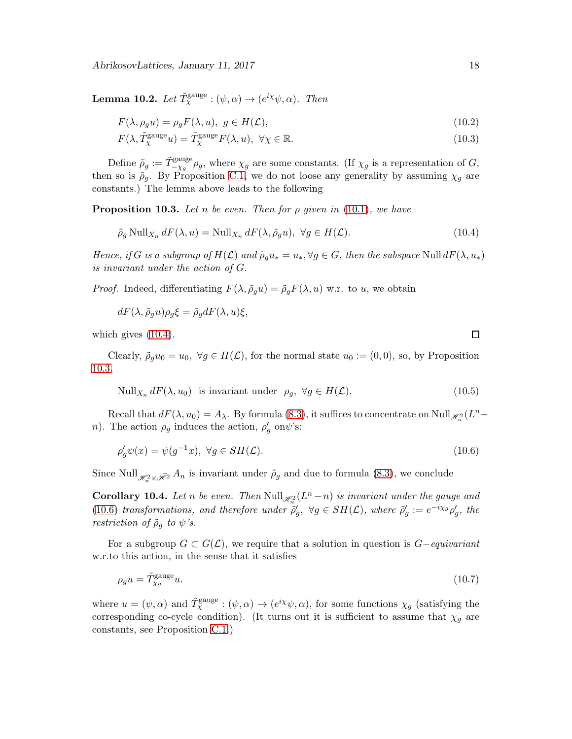<span id="page-17-4"></span>**Lemma 10.2.** Let  $\tilde{T}_{\chi}^{\text{gauge}} : (\psi, \alpha) \to (e^{i\chi} \psi, \alpha)$ . Then

$$
F(\lambda, \rho_g u) = \rho_g F(\lambda, u), \ g \in H(\mathcal{L}), \tag{10.2}
$$

$$
F(\lambda, \tilde{T}_{\chi}^{\text{gauge}} u) = \tilde{T}_{\chi}^{\text{gauge}} F(\lambda, u), \ \forall \chi \in \mathbb{R}.
$$
 (10.3)

Define  $\tilde{\rho}_g := \tilde{T}_{-\chi_g}^{\text{gauge}} \rho_g$ , where  $\chi_g$  are some constants. (If  $\chi_g$  is a representation of G, then so is  $\rho_g$ . By Proposition [C.1,](#page-36-0) we do not loose any generality by assuming  $\chi_g$  are constants.) The lemma above leads to the following

<span id="page-17-1"></span>**Proposition 10.3.** Let n be even. Then for  $\rho$  given in [\(10.1\)](#page-16-2), we have

<span id="page-17-0"></span>
$$
\tilde{\rho}_g \text{Null}_{X_n} \, dF(\lambda, u) = \text{Null}_{X_n} \, dF(\lambda, \tilde{\rho}_g u), \ \forall g \in H(\mathcal{L}). \tag{10.4}
$$

Hence, if G is a subgroup of  $H(\mathcal{L})$  and  $\tilde{\rho}_g u_* = u_*, \forall g \in G$ , then the subspace Null  $dF(\lambda, u_*)$ is invariant under the action of G.

*Proof.* Indeed, differentiating  $F(\lambda, \tilde{\rho}_g u) = \tilde{\rho}_g F(\lambda, u)$  w.r. to u, we obtain

$$
dF(\lambda, \tilde{\rho}_g u)\rho_g \xi = \tilde{\rho}_g dF(\lambda, u)\xi,
$$

which gives  $(10.4)$ .

Clearly,  $\tilde{\rho}_q u_0 = u_0$ ,  $\forall g \in H(\mathcal{L})$ , for the normal state  $u_0 := (0,0)$ , so, by Proposition [10.3,](#page-17-1)

Null<sub>X<sub>n</sub></sub> 
$$
dF(\lambda, u_0)
$$
 is invariant under  $\rho_g$ ,  $\forall g \in H(\mathcal{L})$ . (10.5)

Recall that  $dF(\lambda, u_0) = A_\lambda$ . By formula [\(8.3\)](#page-14-4), it suffices to concentrate on Null  $\mathcal{H}_n^2(L^n$ n). The action  $\rho_g$  induces the action,  $\rho'_g$  on  $\psi$ 's:

<span id="page-17-2"></span>
$$
\rho_g' \psi(x) = \psi(g^{-1}x), \ \forall g \in SH(\mathcal{L}). \tag{10.6}
$$

Since Null  $_{\mathscr{H}_{n}^{2}\times\mathscr{H}^{2}} A_{n}$  is invariant under  $\tilde{\rho}_{g}$  and due to formula [\(8.3\)](#page-14-4), we conclude

**Corollary 10.4.** Let n be even. Then  $\text{Null}_{\mathscr{H}^2_n}(L^n - n)$  is invariant under the gauge and [\(10.6\)](#page-17-2) transformations, and therefore under  $\tilde{\rho}'_g$ ,  $\forall g \in SH(\mathcal{L})$ , where  $\tilde{\rho}'_g := e^{-i\chi_g} \rho'_g$ , the restriction of  $\tilde{\rho}_g$  to  $\psi$ 's.

For a subgroup  $G \subset G(\mathcal{L})$ , we require that a solution in question is  $G-equivariant$ w.r.to this action, in the sense that it satisfies

<span id="page-17-3"></span>
$$
\rho_g u = \tilde{T}_{\chi_g}^{\text{gauge}} u. \tag{10.7}
$$

where  $u = (\psi, \alpha)$  and  $\tilde{T}^{\text{gauge}}_{\chi} : (\psi, \alpha) \to (e^{i\chi}\psi, \alpha)$ , for some functions  $\chi_g$  (satisfying the corresponding co-cycle condition). (It turns out it is sufficient to assume that  $\chi_g$  are constants, see Proposition [C.1.](#page-36-0))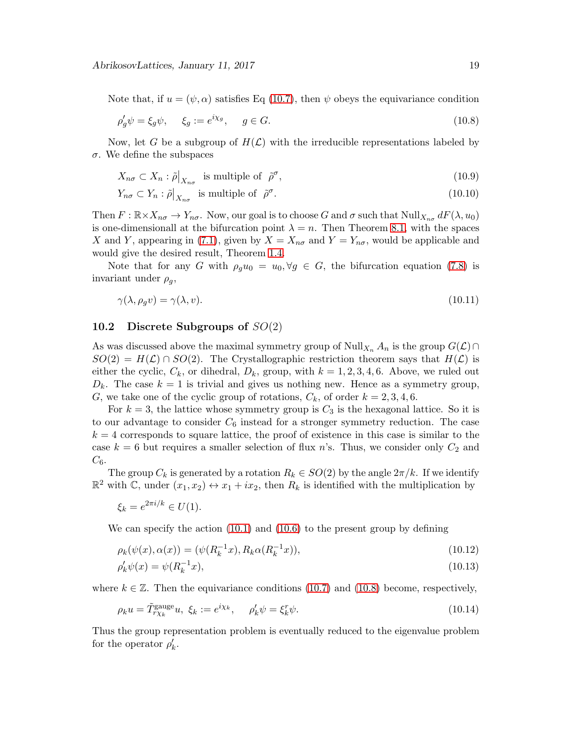Note that, if  $u = (\psi, \alpha)$  satisfies Eq [\(10.7\)](#page-17-3), then  $\psi$  obeys the equivariance condition

<span id="page-18-0"></span>
$$
\rho'_g \psi = \xi_g \psi, \quad \xi_g := e^{i\chi_g}, \quad g \in G. \tag{10.8}
$$

Now, let G be a subgroup of  $H(\mathcal{L})$  with the irreducible representations labeled by σ. We define the subspaces

$$
X_{n\sigma} \subset X_n : \tilde{\rho}|_{X_{n\sigma}} \text{ is multiple of } \tilde{\rho}^{\sigma}, \qquad (10.9)
$$

$$
Y_{n\sigma} \subset Y_n : \tilde{\rho}|_{X_{n\sigma}} \text{ is multiple of } \tilde{\rho}^{\sigma}. \tag{10.10}
$$

Then  $F : \mathbb{R} \times X_{n\sigma} \to Y_{n\sigma}$ . Now, our goal is to choose G and  $\sigma$  such that  $\text{Null}_{X_{n\sigma}} dF(\lambda, u_0)$ is one-dimensionall at the bifurcation point  $\lambda = n$ . Then Theorem [8.1,](#page-14-3) with the spaces X and Y, appearing in [\(7.1\)](#page-12-5), given by  $X = X_{n\sigma}$  and  $Y = Y_{n\sigma}$ , would be applicable and would give the desired result, Theorem [1.4.](#page-3-0)

Note that for any G with  $\rho_g u_0 = u_0, \forall g \in G$ , the bifurcation equation [\(7.8\)](#page-13-0) is invariant under  $\rho_q$ ,

$$
\gamma(\lambda, \rho_g v) = \gamma(\lambda, v). \tag{10.11}
$$

#### 10.2 Discrete Subgroups of  $SO(2)$

As was discussed above the maximal symmetry group of Null<sub>Xn</sub>  $A_n$  is the group  $G(\mathcal{L})\cap$  $SO(2) = H(\mathcal{L}) \cap SO(2)$ . The Crystallographic restriction theorem says that  $H(\mathcal{L})$  is either the cyclic,  $C_k$ , or dihedral,  $D_k$ , group, with  $k = 1, 2, 3, 4, 6$ . Above, we ruled out  $D_k$ . The case  $k = 1$  is trivial and gives us nothing new. Hence as a symmetry group, G, we take one of the cyclic group of rotations,  $C_k$ , of order  $k = 2, 3, 4, 6$ .

For  $k = 3$ , the lattice whose symmetry group is  $C_3$  is the hexagonal lattice. So it is to our advantage to consider  $C_6$  instead for a stronger symmetry reduction. The case  $k = 4$  corresponds to square lattice, the proof of existence in this case is similar to the case  $k = 6$  but requires a smaller selection of flux n's. Thus, we consider only  $C_2$  and  $C_{6}$ .

The group  $C_k$  is generated by a rotation  $R_k \in SO(2)$  by the angle  $2\pi/k$ . If we identify  $\mathbb{R}^2$  with C, under  $(x_1, x_2) \leftrightarrow x_1 + ix_2$ , then  $R_k$  is identified with the multiplication by

$$
\xi_k = e^{2\pi i/k} \in U(1).
$$

We can specify the action [\(10.1\)](#page-16-2) and [\(10.6\)](#page-17-2) to the present group by defining

$$
\rho_k(\psi(x), \alpha(x)) = (\psi(R_k^{-1}x), R_k \alpha(R_k^{-1}x)), \qquad (10.12)
$$

$$
\rho'_k \psi(x) = \psi(R_k^{-1}x),\tag{10.13}
$$

where  $k \in \mathbb{Z}$ . Then the equivariance conditions [\(10.7\)](#page-17-3) and [\(10.8\)](#page-18-0) become, respectively,

$$
\rho_k u = \tilde{T}_{r\chi_k}^{\text{gauge}} u, \ \xi_k := e^{i\chi_k}, \qquad \rho'_k \psi = \xi_k^r \psi. \tag{10.14}
$$

Thus the group representation problem is eventually reduced to the eigenvalue problem for the operator  $\rho'_{k}$ .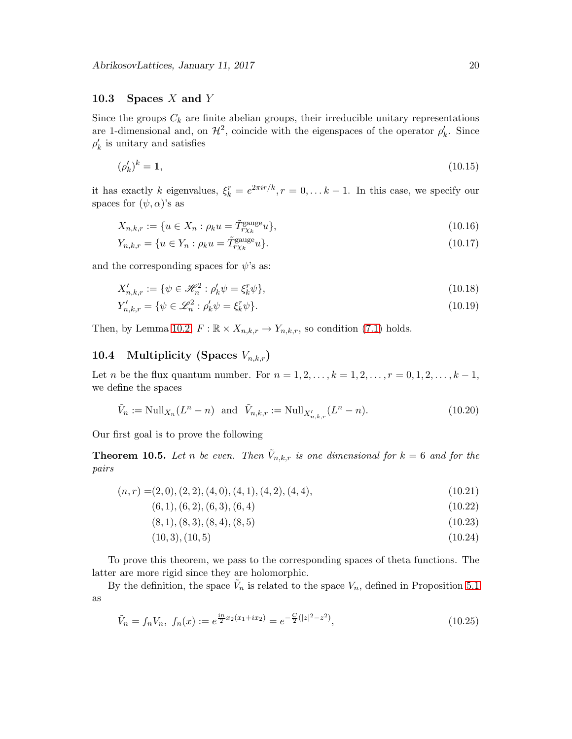#### 10.3 Spaces  $X$  and  $Y$

Since the groups  $C_k$  are finite abelian groups, their irreducible unitary representations are 1-dimensional and, on  $\mathcal{H}^2$ , coincide with the eigenspaces of the operator  $\rho'_k$ . Since  $\rho'_{k}$  is unitary and satisfies

<span id="page-19-0"></span>
$$
(\rho_k')^k = 1,\tag{10.15}
$$

it has exactly k eigenvalues,  $\xi_k^r = e^{2\pi i r/k}, r = 0, \ldots k-1$ . In this case, we specify our spaces for  $(\psi, \alpha)$ 's as

$$
X_{n,k,r} := \{ u \in X_n : \rho_k u = \tilde{T}_{r\chi_k}^{\text{gauge}} u \},\tag{10.16}
$$

$$
Y_{n,k,r} = \{ u \in Y_n : \rho_k u = \tilde{T}_{r\chi_k}^{\text{gauge}} u \}. \tag{10.17}
$$

and the corresponding spaces for  $\psi$ 's as:

$$
X'_{n,k,r} := \{ \psi \in \mathcal{H}_n^2 : \rho'_k \psi = \xi_k^r \psi \},\tag{10.18}
$$

$$
Y'_{n,k,r} = \{ \psi \in \mathcal{L}_n^2 : \rho'_k \psi = \xi_k^r \psi \}. \tag{10.19}
$$

Then, by Lemma [10.2,](#page-17-4)  $F : \mathbb{R} \times X_{n,k,r} \to Y_{n,k,r}$ , so condition [\(7.1\)](#page-12-5) holds.

## 10.4 Multiplicity (Spaces  $V_{n,k,r}$ )

Let *n* be the flux quantum number. For  $n = 1, 2, ..., k = 1, 2, ..., r = 0, 1, 2, ..., k - 1$ , we define the spaces

$$
\tilde{V}_n := \text{Null}_{X_n}(L^n - n) \text{ and } \tilde{V}_{n,k,r} := \text{Null}_{X'_{n,k,r}}(L^n - n).
$$
\n(10.20)

Our first goal is to prove the following

<span id="page-19-1"></span>**Theorem 10.5.** Let n be even. Then  $\tilde{V}_{n,k,r}$  is one dimensional for  $k = 6$  and for the pairs

$$
(n,r) = (2,0), (2,2), (4,0), (4,1), (4,2), (4,4), \tag{10.21}
$$

 $(6, 1), (6, 2), (6, 3), (6, 4)$  (10.22)

$$
(8,1), (8,3), (8,4), (8,5) \tag{10.23}
$$

<span id="page-19-2"></span>
$$
(10,3), (10,5) \tag{10.24}
$$

To prove this theorem, we pass to the corresponding spaces of theta functions. The latter are more rigid since they are holomorphic.

By the definition, the space  $\tilde{V}_n$  is related to the space  $V_n$ , defined in Proposition [5.1](#page-7-5) as

$$
\tilde{V}_n = f_n V_n, \ f_n(x) := e^{\frac{i n}{2} x_2 (x_1 + ix_2)} = e^{-\frac{C}{2} (|z|^2 - z^2)}, \tag{10.25}
$$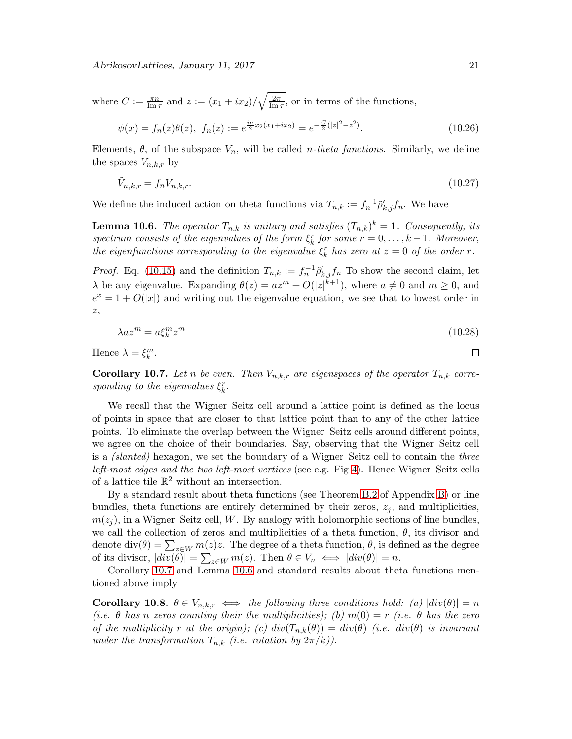where  $C := \frac{\pi n}{\text{Im }\tau}$  and  $z := (x_1 + ix_2) / \sqrt{\frac{2\pi}{\text{Im }\tau}}$  $\frac{2\pi}{\text{Im }\tau}$ , or in terms of the functions,

<span id="page-20-3"></span>
$$
\psi(x) = f_n(z)\theta(z), \ f_n(z) := e^{\frac{i n}{2} x_2(x_1 + ix_2)} = e^{-\frac{C}{2}(|z|^2 - z^2)}.
$$
\n(10.26)

Elements,  $\theta$ , of the subspace  $V_n$ , will be called *n*-theta functions. Similarly, we define the spaces  $V_{n,k,r}$  by

$$
\tilde{V}_{n,k,r} = f_n V_{n,k,r}.\tag{10.27}
$$

We define the induced action on theta functions via  $T_{n,k} := f_n^{-1} \tilde{\rho}'_{k,j} f_n$ . We have

<span id="page-20-1"></span>**Lemma 10.6.** The operator  $T_{n,k}$  is unitary and satisfies  $(T_{n,k})^k = 1$ . Consequently, its spectrum consists of the eigenvalues of the form  $\xi_k^r$  for some  $r = 0, \ldots, k-1$ . Moreover, the eigenfunctions corresponding to the eigenvalue  $\xi_k^r$  has zero at  $z = 0$  of the order r.

*Proof.* Eq. [\(10.15\)](#page-19-0) and the definition  $T_{n,k} := f_n^{-1} \tilde{\rho}'_{k,j} f_n$  To show the second claim, let  $\lambda$  be any eigenvalue. Expanding  $\theta(z) = az^m + O(|z|^{k+1})$ , where  $a \neq 0$  and  $m \geq 0$ , and  $e^x = 1 + O(|x|)$  and writing out the eigenvalue equation, we see that to lowest order in z,

$$
\lambda az^m = a\xi_k^m z^m \tag{10.28}
$$

Hence  $\lambda = \xi_k^m$ .

<span id="page-20-0"></span>**Corollary 10.7.** Let n be even. Then  $V_{n,k,r}$  are eigenspaces of the operator  $T_{n,k}$  corresponding to the eigenvalues  $\xi_k^r$ .

We recall that the Wigner–Seitz cell around a lattice point is defined as the locus of points in space that are closer to that lattice point than to any of the other lattice points. To eliminate the overlap between the Wigner–Seitz cells around different points, we agree on the choice of their boundaries. Say, observing that the Wigner–Seitz cell is a (slanted) hexagon, we set the boundary of a Wigner–Seitz cell to contain the three left-most edges and the two left-most vertices (see e.g. Fig [4\)](#page-25-0). Hence Wigner–Seitz cells of a lattice tile  $\mathbb{R}^2$  without an intersection.

By a standard result about theta functions (see Theorem [B.2](#page-30-0) of Appendix [B\)](#page-29-1) or line bundles, theta functions are entirely determined by their zeros,  $z_j$ , and multiplicities,  $m(z_i)$ , in a Wigner–Seitz cell, W. By analogy with holomorphic sections of line bundles, we call the collection of zeros and multiplicities of a theta function,  $\theta$ , its divisor and denote  $\text{div}(\theta) = \sum_{z \in W} m(z)z$ . The degree of a theta function,  $\theta$ , is defined as the degree of its divisor,  $|div(\theta)| = \sum_{z \in W} m(z)$ . Then  $\theta \in V_n \iff |div(\theta)| = n$ .

Corollary [10.7](#page-20-0) and Lemma [10.6](#page-20-1) and standard results about theta functions mentioned above imply

<span id="page-20-2"></span>Corollary 10.8.  $\theta \in V_{n,k,r} \iff$  the following three conditions hold: (a)  $|div(\theta)| = n$ (i.e.  $\theta$  has n zeros counting their the multiplicities); (b)  $m(0) = r$  (i.e.  $\theta$  has the zero of the multiplicity r at the origin); (c)  $div(T_{n,k}(\theta)) = div(\theta)$  (i.e.  $div(\theta)$  is invariant under the transformation  $T_{n,k}$  (i.e. rotation by  $2\pi/k$ )).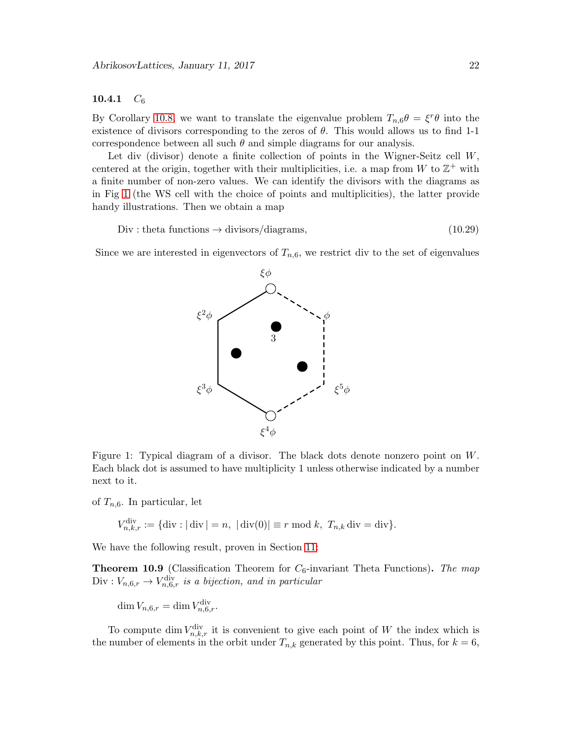#### 10.4.1  $C_6$

By Corollary [10.8,](#page-20-2) we want to translate the eigenvalue problem  $T_{n,6}\theta = \xi^r \theta$  into the existence of divisors corresponding to the zeros of  $\theta$ . This would allows us to find 1-1 correspondence between all such  $\theta$  and simple diagrams for our analysis.

Let div (divisor) denote a finite collection of points in the Wigner-Seitz cell W, centered at the origin, together with their multiplicities, i.e. a map from W to  $\mathbb{Z}^+$  with a finite number of non-zero values. We can identify the divisors with the diagrams as in Fig [1](#page-21-0) (the WS cell with the choice of points and multiplicities), the latter provide handy illustrations. Then we obtain a map

 $Div: \text{theta functions} \rightarrow \text{divisors/diagrams},$  (10.29)

<span id="page-21-2"></span>φ

 $\blacksquare$ 

Since we are interested in eigenvectors of  $T_{n,6}$ , we restrict div to the set of eigenvalues

 $\sum_{i=1}^n$ 

b3

ξφ

b



<span id="page-21-0"></span>of  $T_{n,6}$ . In particular, let

$$
V_{n,k,r}^{\text{div}} := \{ \text{div} : |\text{div}| = n, \ |\text{div}(0)| \equiv r \bmod k, \ T_{n,k} \text{div} = \text{div} \}.
$$

We have the following result, proven in Section [11:](#page-24-0)

ξ  $^{2}\phi$ 

<span id="page-21-1"></span>**Theorem 10.9** (Classification Theorem for  $C_6$ -invariant Theta Functions). The map  $Div: V_{n,6,r} \to V_{n,6,r}^{\text{div}}$  is a bijection, and in particular

 $\dim V_{n,6,r} = \dim V_{n,6,r}^{\text{div}}.$ 

To compute dim  $V_{n,k,r}^{\text{div}}$  it is convenient to give each point of W the index which is the number of elements in the orbit under  $T_{n,k}$  generated by this point. Thus, for  $k = 6$ ,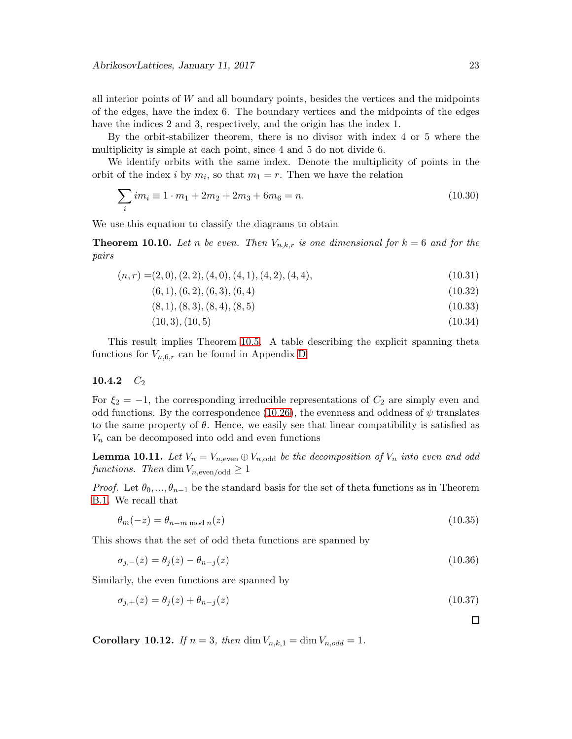all interior points of  $W$  and all boundary points, besides the vertices and the midpoints of the edges, have the index 6. The boundary vertices and the midpoints of the edges have the indices 2 and 3, respectively, and the origin has the index 1.

By the orbit-stabilizer theorem, there is no divisor with index 4 or 5 where the multiplicity is simple at each point, since 4 and 5 do not divide 6.

We identify orbits with the same index. Denote the multiplicity of points in the orbit of the index *i* by  $m_i$ , so that  $m_1 = r$ . Then we have the relation

$$
\sum_{i} im_i \equiv 1 \cdot m_1 + 2m_2 + 2m_3 + 6m_6 = n. \tag{10.30}
$$

We use this equation to classify the diagrams to obtain

**Theorem 10.10.** Let n be even. Then  $V_{n,k,r}$  is one dimensional for  $k = 6$  and for the pairs

$$
(n,r) = (2,0), (2,2), (4,0), (4,1), (4,2), (4,4), \tag{10.31}
$$

 $(6, 1), (6, 2), (6, 3), (6, 4)$  (10.32)

$$
(8,1), (8,3), (8,4), (8,5) \tag{10.33}
$$

$$
(10,3), (10,5) \tag{10.34}
$$

This result implies Theorem [10.5.](#page-19-1) A table describing the explicit spanning theta functions for  $V_{n,6,r}$  can be found in Appendix [D](#page-37-4)

#### 10.4.2  $C_2$

For  $\xi_2 = -1$ , the corresponding irreducible representations of  $C_2$  are simply even and odd functions. By the correspondence [\(10.26\)](#page-20-3), the evenness and oddness of  $\psi$  translates to the same property of  $\theta$ . Hence, we easily see that linear compatibility is satisfied as  $V_n$  can be decomposed into odd and even functions

**Lemma 10.11.** Let  $V_n = V_{n,\text{even}} \oplus V_{n,\text{odd}}$  be the decomposition of  $V_n$  into even and odd functions. Then dim  $V_{n,\text{even}/\text{odd}} \geq 1$ 

*Proof.* Let  $\theta_0, ..., \theta_{n-1}$  be the standard basis for the set of theta functions as in Theorem [B.1.](#page-30-1) We recall that

$$
\theta_m(-z) = \theta_{n-m \bmod n}(z) \tag{10.35}
$$

This shows that the set of odd theta functions are spanned by

$$
\sigma_{j,-}(z) = \theta_j(z) - \theta_{n-j}(z) \tag{10.36}
$$

Similarly, the even functions are spanned by

$$
\sigma_{j,+}(z) = \theta_j(z) + \theta_{n-j}(z) \tag{10.37}
$$

Corollary 10.12. If  $n = 3$ , then dim  $V_{n,k,1} = \dim V_{n,odd} = 1$ .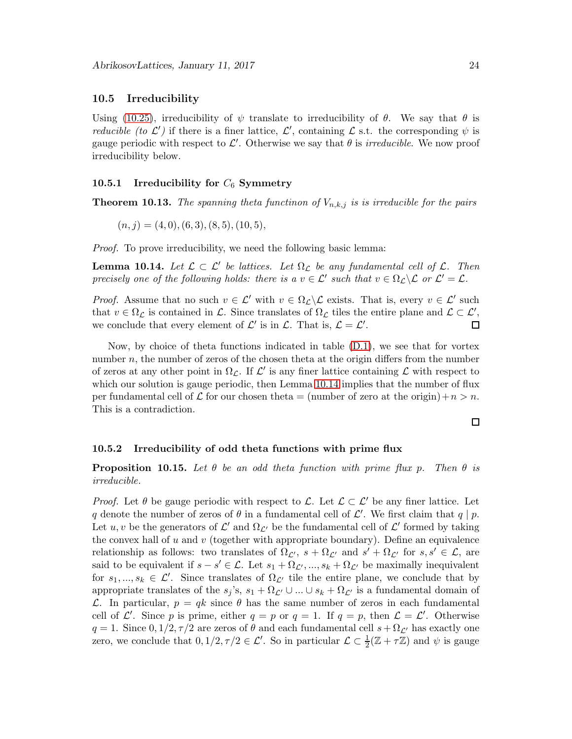#### 10.5 Irreducibility

Using [\(10.25\)](#page-19-2), irreducibility of  $\psi$  translate to irreducibility of  $\theta$ . We say that  $\theta$  is *reducible (to L')* if there is a finer lattice,  $\mathcal{L}'$ , containing  $\mathcal{L}$  s.t. the corresponding  $\psi$  is gauge periodic with respect to  $\mathcal{L}'$ . Otherwise we say that  $\theta$  is *irreducible*. We now proof irreducibility below.

## 10.5.1 Irreducibility for  $C_6$  Symmetry

**Theorem 10.13.** The spanning theta functinon of  $V_{n,k,j}$  is is irreducible for the pairs

$$
(n,j) = (4,0), (6,3), (8,5), (10,5),
$$

Proof. To prove irreducibility, we need the following basic lemma:

<span id="page-23-0"></span>**Lemma 10.14.** Let  $\mathcal{L} \subset \mathcal{L}'$  be lattices. Let  $\Omega_{\mathcal{L}}$  be any fundamental cell of  $\mathcal{L}$ . Then precisely one of the following holds: there is a  $v \in \mathcal{L}'$  such that  $v \in \Omega_{\mathcal{L}} \backslash \mathcal{L}$  or  $\mathcal{L}' = \mathcal{L}$ .

*Proof.* Assume that no such  $v \in \mathcal{L}'$  with  $v \in \Omega_{\mathcal{L}} \backslash \mathcal{L}$  exists. That is, every  $v \in \mathcal{L}'$  such that  $v \in \Omega_{\mathcal{L}}$  is contained in  $\mathcal{L}$ . Since translates of  $\Omega_{\mathcal{L}}$  tiles the entire plane and  $\mathcal{L} \subset \mathcal{L}'$ , we conclude that every element of  $\mathcal{L}'$  is in  $\mathcal{L}$ . That is,  $\mathcal{L} = \mathcal{L}'$ .

Now, by choice of theta functions indicated in table [\(D.1\)](#page-37-5), we see that for vortex number n, the number of zeros of the chosen theta at the origin differs from the number of zeros at any other point in  $\Omega_{\mathcal{L}}$ . If  $\mathcal{L}'$  is any finer lattice containing  $\mathcal{L}$  with respect to which our solution is gauge periodic, then Lemma [10.14](#page-23-0) implies that the number of flux per fundamental cell of L for our chosen theta  $=$  (number of zero at the origin) +  $n > n$ . This is a contradiction.

 $\Box$ 

#### 10.5.2 Irreducibility of odd theta functions with prime flux

**Proposition 10.15.** Let  $\theta$  be an odd theta function with prime flux p. Then  $\theta$  is irreducible.

*Proof.* Let  $\theta$  be gauge periodic with respect to L. Let  $\mathcal{L} \subset \mathcal{L}'$  be any finer lattice. Let q denote the number of zeros of  $\theta$  in a fundamental cell of  $\mathcal{L}'$ . We first claim that  $q \mid p$ . Let  $u, v$  be the generators of  $\mathcal{L}'$  and  $\Omega_{\mathcal{L}'}$  be the fundamental cell of  $\mathcal{L}'$  formed by taking the convex hall of  $u$  and  $v$  (together with appropriate boundary). Define an equivalence relationship as follows: two translates of  $\Omega_{\mathcal{L}'}, s + \Omega_{\mathcal{L}'}$  and  $s' + \Omega_{\mathcal{L}'}$  for  $s, s' \in \mathcal{L}$ , are said to be equivalent if  $s - s' \in \mathcal{L}$ . Let  $s_1 + \Omega_{\mathcal{L}'}, ..., s_k + \Omega_{\mathcal{L}'}$  be maximally inequivalent for  $s_1, ..., s_k \in \mathcal{L}'$ . Since translates of  $\Omega_{\mathcal{L}'}$  tile the entire plane, we conclude that by appropriate translates of the  $s_j$ 's,  $s_1 + \Omega_{\mathcal{L}'} \cup ... \cup s_k + \Omega_{\mathcal{L}'}$  is a fundamental domain of L. In particular,  $p = qk$  since  $\theta$  has the same number of zeros in each fundamental cell of  $\mathcal{L}'$ . Since p is prime, either  $q = p$  or  $q = 1$ . If  $q = p$ , then  $\mathcal{L} = \mathcal{L}'$ . Otherwise  $q = 1$ . Since  $0, 1/2, \tau/2$  are zeros of  $\theta$  and each fundamental cell  $s + \Omega_{\mathcal{L}'}$  has exactly one zero, we conclude that  $0, 1/2, \tau/2 \in \mathcal{L}'$ . So in particular  $\mathcal{L} \subset \frac{1}{2}(\mathbb{Z} + \tau \mathbb{Z})$  and  $\psi$  is gauge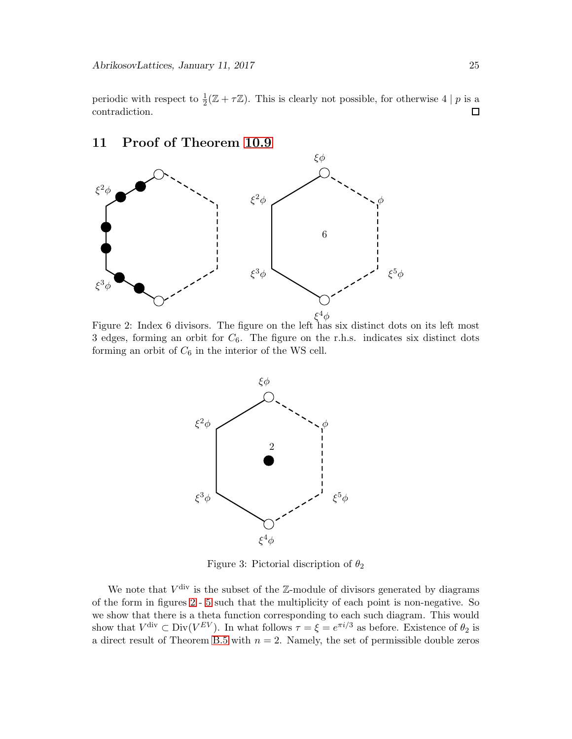periodic with respect to  $\frac{1}{2}(\mathbb{Z} + \tau \mathbb{Z})$ . This is clearly not possible, for otherwise 4 | p is a contradiction.

#### $\sum$  $\mathcal{L}$  $\xi^2\phi$  $\xi^3\phi$  $\blacksquare$  $\blacksquare$  $\sum_{i=1}^n$  $\sum$ φ ξφ  $\xi^2\phi$  $\xi^3\phi$ ξ  $\phi$  $\xi^5\phi$ 6

# <span id="page-24-0"></span>11 Proof of Theorem [10.9](#page-21-1)

<span id="page-24-1"></span>Figure 2: Index 6 divisors. The figure on the left has six distinct dots on its left most 3 edges, forming an orbit for  $C_6$ . The figure on the r.h.s. indicates six distinct dots forming an orbit of  $C_6$  in the interior of the WS cell.



Figure 3: Pictorial discription of  $\theta_2$ 

We note that  $V^{\text{div}}$  is the subset of the Z-module of divisors generated by diagrams of the form in figures [2](#page-24-1) - [5](#page-26-0) such that the multiplicity of each point is non-negative. So we show that there is a theta function corresponding to each such diagram. This would show that  $V^{\text{div}} \subset \text{Div}(V^{EV})$ . In what follows  $\tau = \xi = e^{\pi i/3}$  as before. Existence of  $\theta_2$  is a direct result of Theorem [B.5](#page-32-0) with  $n = 2$ . Namely, the set of permissible double zeros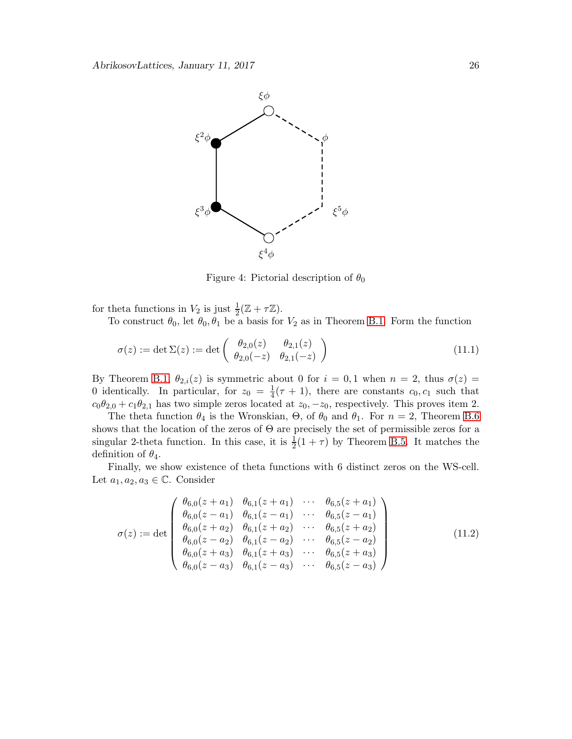

<span id="page-25-0"></span>Figure 4: Pictorial description of  $\theta_0$ 

for theta functions in  $V_2$  is just  $\frac{1}{2}(\mathbb{Z} + \tau \mathbb{Z})$ .

To construct  $\theta_0$ , let  $\theta_0$ ,  $\theta_1$  be a basis for  $V_2$  as in Theorem [B.1.](#page-30-1) Form the function

$$
\sigma(z) := \det \Sigma(z) := \det \begin{pmatrix} \theta_{2,0}(z) & \theta_{2,1}(z) \\ \theta_{2,0}(-z) & \theta_{2,1}(-z) \end{pmatrix}
$$
\n(11.1)

By Theorem [B.1,](#page-30-1)  $\theta_{2,i}(z)$  is symmetric about 0 for  $i = 0,1$  when  $n = 2$ , thus  $\sigma(z) =$ 0 identically. In particular, for  $z_0 = \frac{1}{4}$  $\frac{1}{4}(\tau+1)$ , there are constants  $c_0, c_1$  such that  $c_0\theta_{2,0} + c_1\theta_{2,1}$  has two simple zeros located at  $z_0, -z_0$ , respectively. This proves item 2.

The theta function  $\theta_4$  is the Wronskian,  $\Theta$ , of  $\theta_0$  and  $\theta_1$ . For  $n = 2$ , Theorem [B.6](#page-33-0) shows that the location of the zeros of Θ are precisely the set of permissible zeros for a singular 2-theta function. In this case, it is  $\frac{1}{2}(1+\tau)$  by Theorem [B.5.](#page-32-0) It matches the definition of  $\theta_4$ .

Finally, we show existence of theta functions with 6 distinct zeros on the WS-cell. Let  $a_1, a_2, a_3 \in \mathbb{C}$ . Consider

$$
\sigma(z) := \det \begin{pmatrix}\n\theta_{6,0}(z+a_1) & \theta_{6,1}(z+a_1) & \cdots & \theta_{6,5}(z+a_1) \\
\theta_{6,0}(z-a_1) & \theta_{6,1}(z-a_1) & \cdots & \theta_{6,5}(z-a_1) \\
\theta_{6,0}(z+a_2) & \theta_{6,1}(z+a_2) & \cdots & \theta_{6,5}(z+a_2) \\
\theta_{6,0}(z-a_2) & \theta_{6,1}(z-a_2) & \cdots & \theta_{6,5}(z-a_2) \\
\theta_{6,0}(z+a_3) & \theta_{6,1}(z+a_3) & \cdots & \theta_{6,5}(z+a_3) \\
\theta_{6,0}(z-a_3) & \theta_{6,1}(z-a_3) & \cdots & \theta_{6,5}(z-a_3)\n\end{pmatrix}
$$
\n(11.2)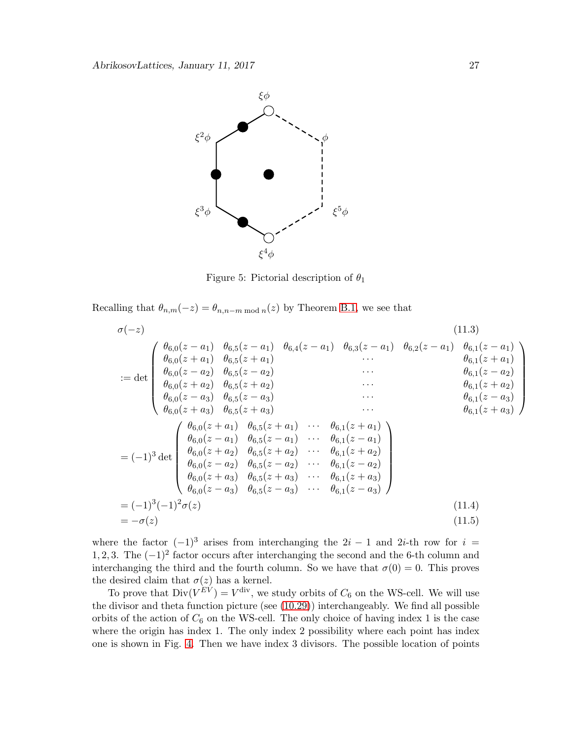

<span id="page-26-0"></span>Figure 5: Pictorial description of  $\theta_1$ 

Recalling that  $\theta_{n,m}(-z) = \theta_{n,n-m \bmod n}(z)$  by Theorem [B.1,](#page-30-1) we see that

$$
\sigma(-z) \qquad (11.3)
$$
\n
$$
\sigma(-z) \qquad (11.3)
$$
\n
$$
\theta_{6,0}(z-a_1) \theta_{6,5}(z-a_1) \theta_{6,4}(z-a_1) \theta_{6,3}(z-a_1) \theta_{6,1}(z-a_1) \theta_{6,1}(z-a_1) \theta_{6,1}(z-a_1) \theta_{6,0}(z+a_1) \theta_{6,5}(z+a_1) \cdots \theta_{6,1}(z+a_1) \theta_{6,0}(z-a_2) \theta_{6,5}(z-a_2) \cdots \theta_{6,1}(z-a_2) \theta_{6,1}(z-a_2) \theta_{6,0}(z+a_3) \theta_{6,5}(z+a_3) \cdots \theta_{6,1}(z+a_3) \theta_{6,1}(z-a_3) \theta_{6,0}(z+a_3) \theta_{6,5}(z+a_3) \cdots \theta_{6,1}(z+a_1) \theta_{6,0}(z-a_1) \theta_{6,5}(z-a_1) \cdots \theta_{6,1}(z-a_1) \theta_{6,1}(z+a_3) \theta_{6,1}(z+a_3) \theta_{6,0}(z-a_1) \theta_{6,5}(z-a_2) \cdots \theta_{6,1}(z+a_2) \theta_{6,0}(z-a_2) \theta_{6,5}(z-a_2) \cdots \theta_{6,1}(z-a_2) \theta_{6,0}(z-a_3) \theta_{6,5}(z+a_3) \cdots \theta_{6,1}(z-a_3) \theta_{6,0}(z-a_3) \theta_{6,5}(z-a_3) \cdots \theta_{6,1}(z-a_3) \end{pmatrix}
$$
\n
$$
= (-1)^3(-1)^2 \sigma(z) \qquad (11.4)
$$
\n
$$
= -\sigma(z) \qquad (11.5)
$$

where the factor  $(-1)^3$  arises from interchanging the 2i − 1 and 2i-th row for i = 1, 2, 3. The  $(-1)^2$  factor occurs after interchanging the second and the 6-th column and interchanging the third and the fourth column. So we have that  $\sigma(0) = 0$ . This proves the desired claim that  $\sigma(z)$  has a kernel.

To prove that  $Div(V^{EV}) = V^{\text{div}}$ , we study orbits of  $C_6$  on the WS-cell. We will use the divisor and theta function picture (see [\(10.29\)](#page-21-2)) interchangeably. We find all possible orbits of the action of  $C_6$  on the WS-cell. The only choice of having index 1 is the case where the origin has index 1. The only index 2 possibility where each point has index one is shown in Fig. [4.](#page-25-0) Then we have index 3 divisors. The possible location of points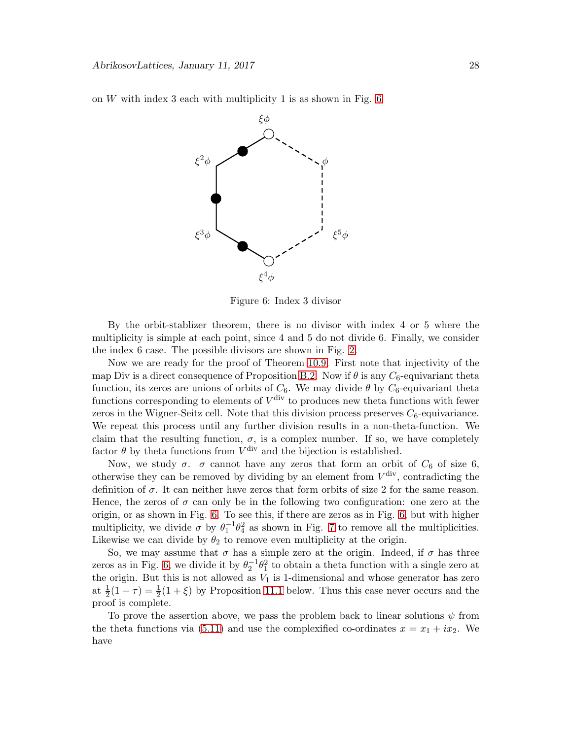on  $W$  with index 3 each with multiplicity 1 is as shown in Fig. [6](#page-27-0)



<span id="page-27-0"></span>Figure 6: Index 3 divisor

By the orbit-stablizer theorem, there is no divisor with index 4 or 5 where the multiplicity is simple at each point, since 4 and 5 do not divide 6. Finally, we consider the index 6 case. The possible divisors are shown in Fig. [2.](#page-24-1)

Now we are ready for the proof of Theorem [10.9.](#page-21-1) First note that injectivity of the map Div is a direct consequence of Proposition [B.2.](#page-30-0) Now if  $\theta$  is any  $C_6$ -equivariant theta function, its zeros are unions of orbits of  $C_6$ . We may divide  $\theta$  by  $C_6$ -equivariant theta functions corresponding to elements of  $V^{\text{div}}$  to produces new theta functions with fewer zeros in the Wigner-Seitz cell. Note that this division process preserves  $C_6$ -equivariance. We repeat this process until any further division results in a non-theta-function. We claim that the resulting function,  $\sigma$ , is a complex number. If so, we have completely factor  $\theta$  by theta functions from  $V^{\text{div}}$  and the bijection is established.

Now, we study  $\sigma$ .  $\sigma$  cannot have any zeros that form an orbit of  $C_6$  of size 6, otherwise they can be removed by dividing by an element from  $V^{\text{div}}$ , contradicting the definition of  $\sigma$ . It can neither have zeros that form orbits of size 2 for the same reason. Hence, the zeros of  $\sigma$  can only be in the following two configuration: one zero at the origin, or as shown in Fig. [6.](#page-27-0) To see this, if there are zeros as in Fig. [6,](#page-27-0) but with higher multiplicity, we divide  $\sigma$  by  $\theta_1^{-1}\theta_4^2$  as shown in Fig. [7](#page-28-0) to remove all the multiplicities. Likewise we can divide by  $\theta_2$  to remove even multiplicity at the origin.

So, we may assume that  $\sigma$  has a simple zero at the origin. Indeed, if  $\sigma$  has three zeros as in Fig. [6,](#page-27-0) we divide it by  $\theta_2^{-1}\theta_1^2$  to obtain a theta function with a single zero at the origin. But this is not allowed as  $V_1$  is 1-dimensional and whose generator has zero at  $\frac{1}{2}(1+\tau) = \frac{1}{2}(1+\xi)$  by Proposition [11.1](#page-28-1) below. Thus this case never occurs and the proof is complete.

To prove the assertion above, we pass the problem back to linear solutions  $\psi$  from the theta functions via [\(5.11\)](#page-8-1) and use the complexified co-ordinates  $x = x_1 + ix_2$ . We have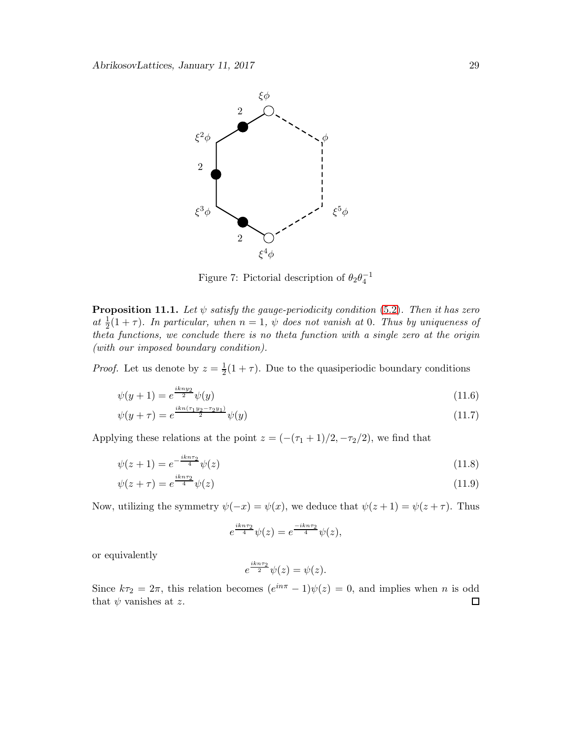

<span id="page-28-0"></span>Figure 7: Pictorial description of  $\theta_2 \theta_4^{-1}$ 

<span id="page-28-1"></span>**Proposition 11.1.** Let  $\psi$  satisfy the gauge-periodicity condition [\(5.2\)](#page-7-7). Then it has zero at  $\frac{1}{2}(1+\tau)$ . In particular, when  $n=1$ ,  $\psi$  does not vanish at 0. Thus by uniqueness of theta functions, we conclude there is no theta function with a single zero at the origin (with our imposed boundary condition).

*Proof.* Let us denote by  $z=\frac{1}{2}$  $\frac{1}{2}(1+\tau)$ . Due to the quasiperiodic boundary conditions

$$
\psi(y+1) = e^{\frac{ikny_2}{2}} \psi(y) \tag{11.6}
$$

$$
\psi(y+\tau) = e^{\frac{ikn(\tau_1y_2-\tau_2y_1)}{2}}\psi(y) \tag{11.7}
$$

Applying these relations at the point  $z = (-(\tau_1 + 1)/2, -\tau_2/2)$ , we find that

$$
\psi(z+1) = e^{-\frac{ikn\tau_2}{4}}\psi(z)
$$
\n(11.8)

$$
\psi(z+\tau) = e^{\frac{\pi i \pi i \tau}{4}} \psi(z) \tag{11.9}
$$

Now, utilizing the symmetry  $\psi(-x) = \psi(x)$ , we deduce that  $\psi(z+1) = \psi(z+\tau)$ . Thus

$$
e^{\frac{ikn\tau_2}{4}}\psi(z) = e^{\frac{-ikn\tau_2}{4}}\psi(z),
$$

or equivalently

$$
e^{\frac{ikn\tau_2}{2}}\psi(z)=\psi(z).
$$

Since  $k\tau_2 = 2\pi$ , this relation becomes  $(e^{in\pi} - 1)\psi(z) = 0$ , and implies when n is odd that  $\psi$  vanishes at z.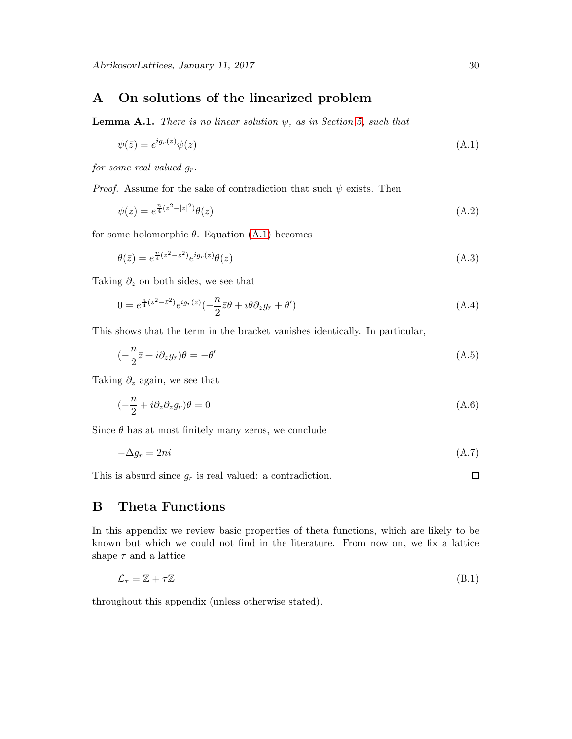# <span id="page-29-0"></span>A On solutions of the linearized problem

**Lemma A.1.** There is no linear solution  $\psi$ , as in Section [5,](#page-7-0) such that

<span id="page-29-2"></span>
$$
\psi(\bar{z}) = e^{ig_r(z)}\psi(z) \tag{A.1}
$$

for some real valued  $g_r$ .

*Proof.* Assume for the sake of contradiction that such  $\psi$  exists. Then

$$
\psi(z) = e^{\frac{n}{4}(z^2 - |z|^2)} \theta(z)
$$
\n(A.2)

for some holomorphic  $\theta$ . Equation [\(A.1\)](#page-29-2) becomes

$$
\theta(\bar{z}) = e^{\frac{n}{4}(z^2 - \bar{z}^2)} e^{ig_r(z)} \theta(z) \tag{A.3}
$$

Taking  $\partial_z$  on both sides, we see that

$$
0 = e^{\frac{n}{4}(z^2 - \bar{z}^2)} e^{ig_r(z)} \left(-\frac{n}{2}\bar{z}\theta + i\theta \partial_z g_r + \theta'\right)
$$
\n(A.4)

This shows that the term in the bracket vanishes identically. In particular,

$$
\left(-\frac{n}{2}\bar{z} + i\partial_z g_r\right)\theta = -\theta'\tag{A.5}
$$

Taking  $\partial_{\bar{z}}$  again, we see that

$$
\left(-\frac{n}{2} + i\partial_{\bar{z}}\partial_z g_r\right)\theta = 0\tag{A.6}
$$

Since  $\theta$  has at most finitely many zeros, we conclude

$$
-\Delta g_r = 2ni \tag{A.7}
$$

This is absurd since  $g_r$  is real valued: a contradiction.

# <span id="page-29-1"></span>B Theta Functions

In this appendix we review basic properties of theta functions, which are likely to be known but which we could not find in the literature. From now on, we fix a lattice shape  $\tau$  and a lattice

$$
\mathcal{L}_{\tau} = \mathbb{Z} + \tau \mathbb{Z} \tag{B.1}
$$

throughout this appendix (unless otherwise stated).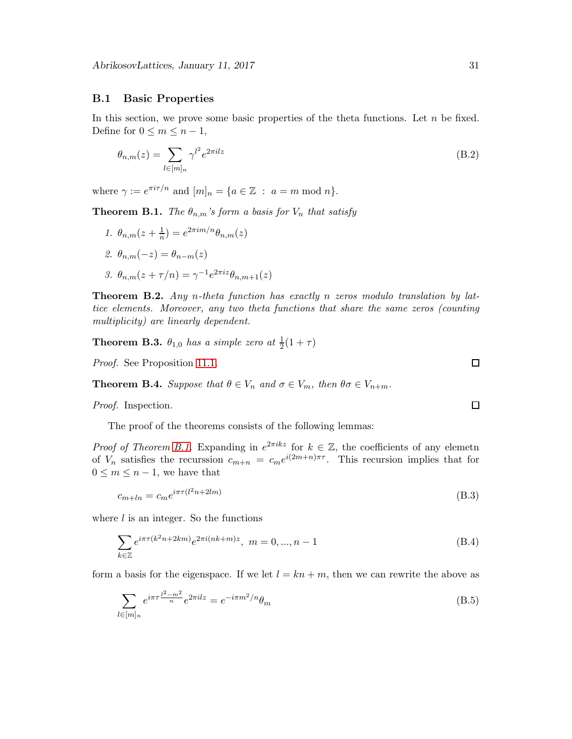#### B.1 Basic Properties

In this section, we prove some basic properties of the theta functions. Let  $n$  be fixed. Define for  $0 \leq m \leq n-1$ ,

$$
\theta_{n,m}(z) = \sum_{l \in [m]_n} \gamma^{l^2} e^{2\pi i l z} \tag{B.2}
$$

where  $\gamma := e^{\pi i \tau/n}$  and  $[m]_n = \{a \in \mathbb{Z} : a = m \bmod n\}.$ 

<span id="page-30-1"></span>**Theorem B.1.** The  $\theta_{n,m}$ 's form a basis for  $V_n$  that satisfy

1.  $\theta_{n,m}(z+\frac{1}{n})$  $(\frac{1}{n}) = e^{2\pi i m/n} \theta_{n,m}(z)$ 2.  $\theta_{n,m}(-z) = \theta_{n-m}(z)$ 3.  $\theta_{n,m}(z+\tau/n) = \gamma^{-1} e^{2\pi i z} \theta_{n,m+1}(z)$ 

<span id="page-30-0"></span>Theorem B.2. Any n-theta function has exactly n zeros modulo translation by lattice elements. Moreover, any two theta functions that share the same zeros (counting multiplicity) are linearly dependent.

<span id="page-30-3"></span>**Theorem B.3.**  $\theta_{1,0}$  has a simple zero at  $\frac{1}{2}(1+\tau)$ 

Proof. See Proposition [11.1.](#page-28-1)

<span id="page-30-4"></span>**Theorem B.4.** Suppose that  $\theta \in V_n$  and  $\sigma \in V_m$ , then  $\theta \sigma \in V_{n+m}$ .

Proof. Inspection.

The proof of the theorems consists of the following lemmas:

*Proof of Theorem [B.1.](#page-30-1)* Expanding in  $e^{2\pi i k z}$  for  $k \in \mathbb{Z}$ , the coefficients of any elemeth of  $V_n$  satisfies the recurssion  $c_{m+n} = c_m e^{i(2m+n)\pi\tau}$ . This recursion implies that for  $0 \leq m \leq n-1$ , we have that

$$
c_{m+ln} = c_m e^{i\pi \tau (l^2 n + 2lm)}\tag{B.3}
$$

where  $l$  is an integer. So the functions

$$
\sum_{k \in \mathbb{Z}} e^{i\pi \tau (k^2 n + 2km)} e^{2\pi i (nk+m)z}, \ m = 0, ..., n-1
$$
 (B.4)

form a basis for the eigenspace. If we let  $l = kn + m$ , then we can rewrite the above as

$$
\sum_{l \in [m]_n} e^{i\pi \tau \frac{l^2 - m^2}{n}} e^{2\pi i l z} = e^{-i\pi m^2/n} \theta_m
$$
\n(B.5)

<span id="page-30-2"></span> $\Box$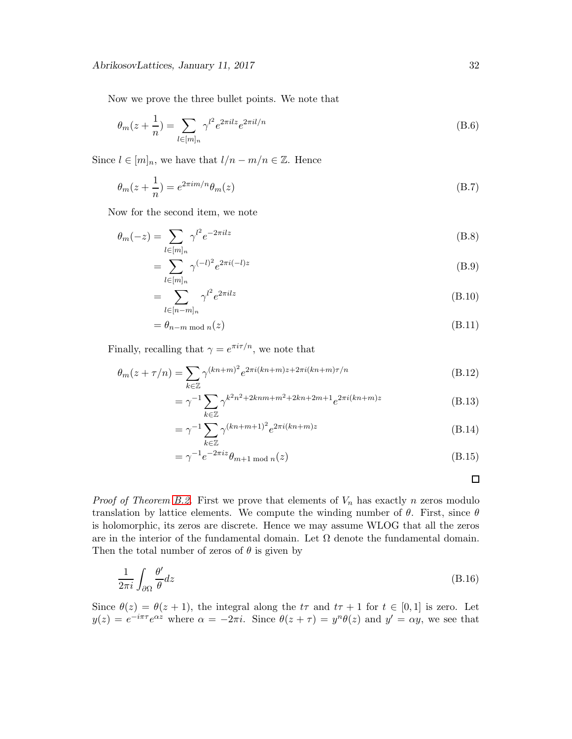Now we prove the three bullet points. We note that

$$
\theta_m(z + \frac{1}{n}) = \sum_{l \in [m]_n} \gamma^{l^2} e^{2\pi i l z} e^{2\pi i l/n}
$$
\n(B.6)

Since  $l \in [m]_n$ , we have that  $l/n - m/n \in \mathbb{Z}$ . Hence

$$
\theta_m(z + \frac{1}{n}) = e^{2\pi i m/n} \theta_m(z) \tag{B.7}
$$

Now for the second item, we note

$$
\theta_m(-z) = \sum_{l \in [m]_n} \gamma^{l^2} e^{-2\pi i l z} \tag{B.8}
$$

$$
= \sum_{l \in [m]_n} \gamma^{(-l)^2} e^{2\pi i (-l)z} \tag{B.9}
$$

$$
=\sum_{l\in[n-m]_n} \gamma^{l^2} e^{2\pi i l z} \tag{B.10}
$$

$$
= \theta_{n-m \bmod n}(z)
$$
\n(B.11)

Finally, recalling that  $\gamma = e^{\pi i \tau/n}$ , we note that

$$
\theta_m(z+\tau/n) = \sum_{k \in \mathbb{Z}} \gamma^{(kn+m)^2} e^{2\pi i(kn+m)z + 2\pi i(kn+m)\tau/n}
$$
\n(B.12)

$$
= \gamma^{-1} \sum_{k \in \mathbb{Z}} \gamma^{k^2 n^2 + 2knm + m^2 + 2kn + 2m + 1} e^{2\pi i (kn + m)z}
$$
 (B.13)

$$
= \gamma^{-1} \sum_{k \in \mathbb{Z}} \gamma^{(kn+m+1)^2} e^{2\pi i (kn+m)z}
$$
 (B.14)

$$
=\gamma^{-1}e^{-2\pi iz}\theta_{m+1 \bmod n}(z)
$$
\n(B.15)

 $\Box$ 

*Proof of Theorem [B.2.](#page-30-0)* First we prove that elements of  $V_n$  has exactly n zeros modulo translation by lattice elements. We compute the winding number of  $\theta$ . First, since  $\theta$ is holomorphic, its zeros are discrete. Hence we may assume WLOG that all the zeros are in the interior of the fundamental domain. Let  $\Omega$  denote the fundamental domain. Then the total number of zeros of  $\theta$  is given by

$$
\frac{1}{2\pi i} \int_{\partial \Omega} \frac{\theta'}{\theta} dz
$$
 (B.16)

Since  $\theta(z) = \theta(z+1)$ , the integral along the  $t\tau$  and  $t\tau + 1$  for  $t \in [0,1]$  is zero. Let  $y(z) = e^{-i\pi\tau}e^{\alpha z}$  where  $\alpha = -2\pi i$ . Since  $\theta(z+\tau) = y^n\theta(z)$  and  $y' = \alpha y$ , we see that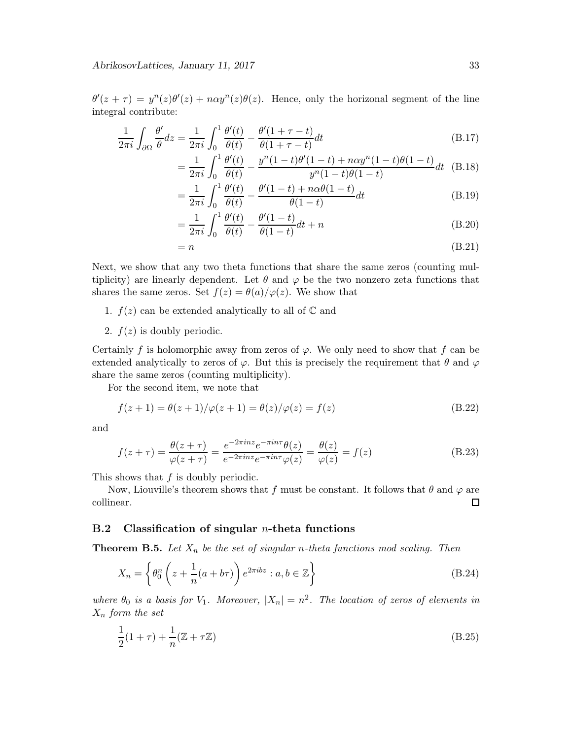$\theta'(z+\tau) = y^{n}(z)\theta'(z) + n\alpha y^{n}(z)\theta(z)$ . Hence, only the horizonal segment of the line integral contribute:

$$
\frac{1}{2\pi i} \int_{\partial\Omega} \frac{\theta'}{\theta} dz = \frac{1}{2\pi i} \int_0^1 \frac{\theta'(t)}{\theta(t)} - \frac{\theta'(1+\tau-t)}{\theta(1+\tau-t)} dt
$$
(B.17)

$$
= \frac{1}{2\pi i} \int_0^1 \frac{\theta'(t)}{\theta(t)} - \frac{y^n (1-t)\theta'(1-t) + n\alpha y^n (1-t)\theta(1-t)}{y^n (1-t)\theta(1-t)} dt
$$
 (B.18)

$$
=\frac{1}{2\pi i}\int_0^1\frac{\theta'(t)}{\theta(t)}-\frac{\theta'(1-t)+n\alpha\theta(1-t)}{\theta(1-t)}dt
$$
\n(B.19)

$$
=\frac{1}{2\pi i}\int_0^1 \frac{\theta'(t)}{\theta(t)} - \frac{\theta'(1-t)}{\theta(1-t)}dt + n
$$
\n(B.20)

$$
= n \tag{B.21}
$$

Next, we show that any two theta functions that share the same zeros (counting multiplicity) are linearly dependent. Let  $\theta$  and  $\varphi$  be the two nonzero zeta functions that shares the same zeros. Set  $f(z) = \theta(a)/\varphi(z)$ . We show that

- 1.  $f(z)$  can be extended analytically to all of  $\mathbb C$  and
- 2.  $f(z)$  is doubly periodic.

Certainly f is holomorphic away from zeros of  $\varphi$ . We only need to show that f can be extended analytically to zeros of  $\varphi$ . But this is precisely the requirement that  $\theta$  and  $\varphi$ share the same zeros (counting multiplicity).

For the second item, we note that

$$
f(z+1) = \theta(z+1)/\varphi(z+1) = \theta(z)/\varphi(z) = f(z)
$$
 (B.22)

and

$$
f(z+\tau) = \frac{\theta(z+\tau)}{\varphi(z+\tau)} = \frac{e^{-2\pi i nz} e^{-\pi i n \tau} \theta(z)}{e^{-2\pi i nz} e^{-\pi i n \tau} \varphi(z)} = \frac{\theta(z)}{\varphi(z)} = f(z)
$$
(B.23)

This shows that  $f$  is doubly periodic.

Now, Liouville's theorem shows that f must be constant. It follows that  $\theta$  and  $\varphi$  are collinear.  $\Box$ 

#### B.2 Classification of singular *n*-theta functions

<span id="page-32-0"></span>**Theorem B.5.** Let  $X_n$  be the set of singular n-theta functions mod scaling. Then

$$
X_n = \left\{ \theta_0^n \left( z + \frac{1}{n} (a + b\tau) \right) e^{2\pi i b z} : a, b \in \mathbb{Z} \right\}
$$
 (B.24)

where  $\theta_0$  is a basis for  $V_1$ . Moreover,  $|X_n| = n^2$ . The location of zeros of elements in  $X_n$  form the set

$$
\frac{1}{2}(1+\tau) + \frac{1}{n}(\mathbb{Z} + \tau \mathbb{Z})
$$
\n(B.25)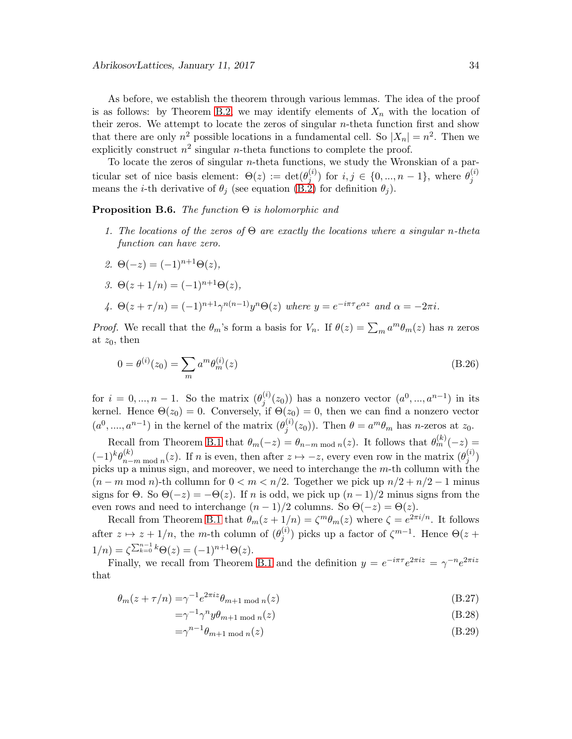As before, we establish the theorem through various lemmas. The idea of the proof is as follows: by Theorem [B.2,](#page-30-0) we may identify elements of  $X_n$  with the location of their zeros. We attempt to locate the zeros of singular  $n$ -theta function first and show that there are only  $n^2$  possible locations in a fundamental cell. So  $|X_n| = n^2$ . Then we explicitly construct  $n^2$  singular *n*-theta functions to complete the proof.

To locate the zeros of singular  $n$ -theta functions, we study the Wronskian of a particular set of nice basis element:  $\Theta(z) := \det(\theta_i^{(i)})$  $j^{(i)}_j$  for  $i, j \in \{0, ..., n-1\}$ , where  $\theta_j^{(i)}$ means the *i*-th derivative of  $\theta_j$  (see equation [\(B.2\)](#page-30-2) for definition  $\theta_j$ ).

#### <span id="page-33-0"></span>**Proposition B.6.** The function  $\Theta$  is holomorphic and

- 1. The locations of the zeros of  $\Theta$  are exactly the locations where a singular n-theta function can have zero.
- 2.  $\Theta(-z) = (-1)^{n+1} \Theta(z)$ ,
- 3.  $\Theta(z+1/n) = (-1)^{n+1} \Theta(z)$ ,

4. 
$$
\Theta(z+\tau/n) = (-1)^{n+1} \gamma^{n(n-1)} y^n \Theta(z)
$$
 where  $y = e^{-i\pi \tau} e^{\alpha z}$  and  $\alpha = -2\pi i$ .

*Proof.* We recall that the  $\theta_m$ 's form a basis for  $V_n$ . If  $\theta(z) = \sum_m a^m \theta_m(z)$  has n zeros at  $z_0$ , then

$$
0 = \theta^{(i)}(z_0) = \sum_{m} a^m \theta_m^{(i)}(z)
$$
\n(B.26)

for  $i = 0, ..., n - 1$ . So the matrix  $(\theta_j^{(i)})$  $j^{(i)}(z_0)$  has a nonzero vector  $(a^0, ..., a^{n-1})$  in its kernel. Hence  $\Theta(z_0) = 0$ . Conversely, if  $\Theta(z_0) = 0$ , then we can find a nonzero vector  $(a^0, \ldots, a^{n-1})$  in the kernel of the matrix  $(\theta_i^{(i)})$  $j^{(i)}(z_0)$ ). Then  $\theta = a^m \theta_m$  has *n*-zeros at  $z_0$ .

Recall from Theorem [B.1](#page-30-1) that  $\theta_m(-z) = \theta_{n-m \bmod n}(z)$ . It follows that  $\theta_m^{(k)}(-z) =$  $(-1)^k \theta_{n-}^{(k)}$  $\binom{k}{n-m \bmod n}(z)$ . If n is even, then after  $z \mapsto -z$ , every even row in the matrix  $(\theta_j^{(i)})$  $\binom{v}{j}$ picks up a minus sign, and moreover, we need to interchange the  $m$ -th collumn with the  $(n-m \mod n)$ -th collumn for  $0 < m < n/2$ . Together we pick up  $n/2 + n/2 - 1$  minus signs for  $\Theta$ . So  $\Theta(-z) = -\Theta(z)$ . If n is odd, we pick up  $(n-1)/2$  minus signs from the even rows and need to interchange  $(n-1)/2$  columns. So  $\Theta(-z) = \Theta(z)$ .

Recall from Theorem [B.1](#page-30-1) that  $\theta_m(z+1/n) = \zeta^m \theta_m(z)$  where  $\zeta = e^{2\pi i/n}$ . It follows after  $z \mapsto z + 1/n$ , the m-th column of  $(\theta_j^{(i)})$  $j^{(i)}$ ) picks up a factor of  $\zeta^{m-1}$ . Hence  $\Theta(z+$  $1/n = \zeta \sum_{k=0}^{n-1} k \Theta(z) = (-1)^{n+1} \Theta(z).$ 

Finally, we recall from Theorem [B.1](#page-30-1) and the definition  $y = e^{-i\pi\tau}e^{2\pi i z} = \gamma^{-n}e^{2\pi i z}$ that

$$
\theta_m(z+\tau/n) = \gamma^{-1} e^{2\pi i z} \theta_{m+1 \text{ mod } n}(z) \tag{B.27}
$$

$$
=\gamma^{-1}\gamma^n y \theta_{m+1 \bmod n}(z)
$$
 (B.28)

$$
=\gamma^{n-1}\theta_{m+1 \bmod n}(z)
$$
 (B.29)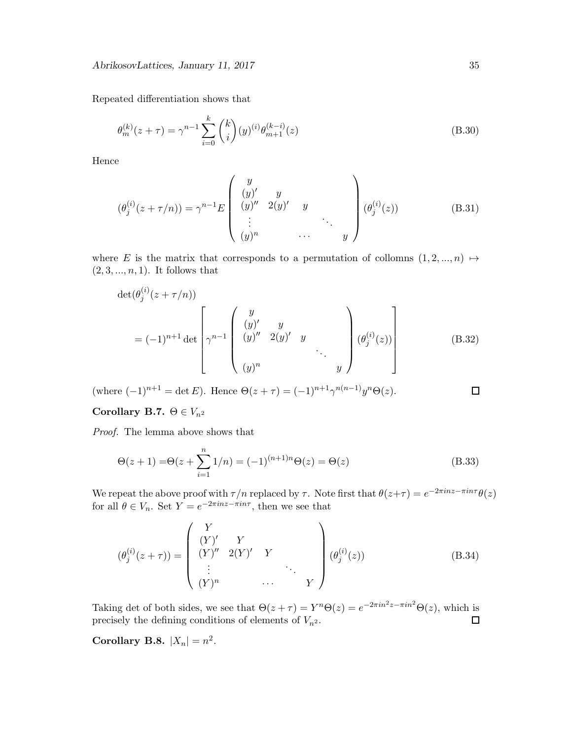Repeated differentiation shows that

$$
\theta_m^{(k)}(z+\tau) = \gamma^{n-1} \sum_{i=0}^k \binom{k}{i} (y)^{(i)} \theta_{m+1}^{(k-i)}(z) \tag{B.30}
$$

Hence

$$
(\theta_j^{(i)}(z+\tau/n)) = \gamma^{n-1} E\begin{pmatrix} y \\ (y)' & y \\ (y)'' & 2(y)' & y \\ \vdots & \ddots & \vdots \\ (y)^n & \cdots & y \end{pmatrix} (\theta_j^{(i)}(z))
$$
 (B.31)

where E is the matrix that corresponds to a permutation of collomns  $(1, 2, ..., n) \mapsto$  $(2, 3, ..., n, 1)$ . It follows that

$$
\det(\theta_j^{(i)}(z+\tau/n)) = (-1)^{n+1} \det \begin{bmatrix} y \\ (y)' & y \\ (y)'' & 2(y)' & y \\ (y)^n & (y)^n & \cdots \\ (y)^n & & y \end{bmatrix} (\theta_j^{(i)}(z)) \qquad (B.32)
$$

(where  $(-1)^{n+1} = \det E$ ). Hence  $\Theta(z + \tau) = (-1)^{n+1} \gamma^{n(n-1)} y^n \Theta(z)$ .

Corollary B.7.  $\Theta \in V_{n^2}$ 

Proof. The lemma above shows that

$$
\Theta(z+1) = \Theta(z + \sum_{i=1}^{n} 1/n) = (-1)^{(n+1)n} \Theta(z) = \Theta(z)
$$
\n(B.33)

We repeat the above proof with  $\tau/n$  replaced by  $\tau$ . Note first that  $\theta(z+\tau) = e^{-2\pi i nz - \pi i n\tau} \theta(z)$ for all  $\theta \in V_n$ . Set  $Y = e^{-2\pi i n z - \pi i n \tau}$ , then we see that

$$
(\theta_j^{(i)}(z+\tau)) = \begin{pmatrix} Y \\ (Y)' & Y \\ (Y)'' & 2(Y)' & Y \\ \vdots & \ddots & \vdots \\ (Y)^n & \cdots & Y \end{pmatrix} (\theta_j^{(i)}(z))
$$
 (B.34)

Taking det of both sides, we see that  $\Theta(z+\tau) = Y^n \Theta(z) = e^{-2\pi i n^2 z - \pi i n^2} \Theta(z)$ , which is precisely the defining conditions of elements of  $V_{n^2}$ .  $\Box$ 

Corollary B.8.  $|X_n| = n^2$ .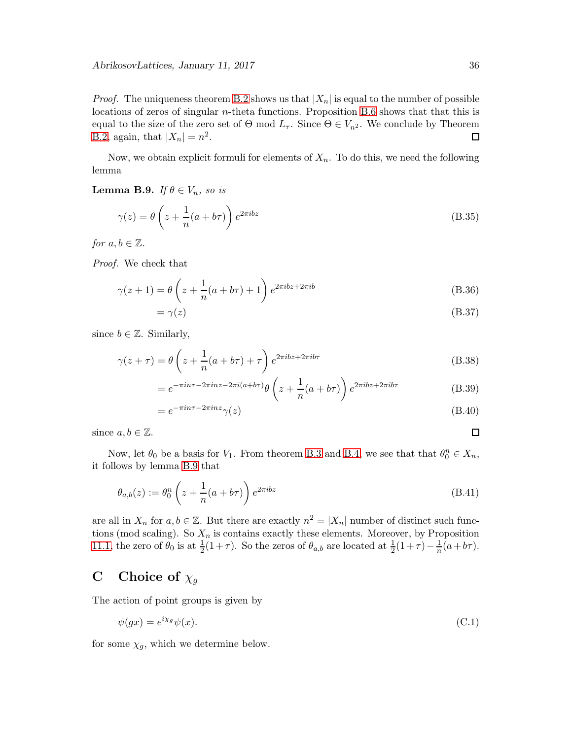*Proof.* The uniqueness theorem [B.2](#page-30-0) shows us that  $|X_n|$  is equal to the number of possible locations of zeros of singular n-theta functions. Proposition [B.6](#page-33-0) shows that that this is equal to the size of the zero set of  $\Theta$  mod  $L_{\tau}$ . Since  $\Theta \in V_{n^2}$ . We conclude by Theorem B.2, again, that  $|X_n| = n^2$ . [B.2,](#page-30-0) again, that  $|X_n| = n^2$ .

Now, we obtain explicit formuli for elements of  $X_n$ . To do this, we need the following lemma

<span id="page-35-0"></span>Lemma B.9. If  $\theta \in V_n$ , so is

$$
\gamma(z) = \theta \left( z + \frac{1}{n} (a + b\tau) \right) e^{2\pi i b z} \tag{B.35}
$$

for  $a, b \in \mathbb{Z}$ .

Proof. We check that

$$
\gamma(z+1) = \theta\left(z + \frac{1}{n}(a+b\tau) + 1\right)e^{2\pi ibz + 2\pi ib}
$$
\n(B.36)

$$
=\gamma(z)\tag{B.37}
$$

since  $b \in \mathbb{Z}$ . Similarly,

$$
\gamma(z+\tau) = \theta\left(z + \frac{1}{n}(a+b\tau) + \tau\right)e^{2\pi ibz + 2\pi ib\tau}
$$
\n(B.38)

$$
= e^{-\pi i n \tau - 2\pi i n z - 2\pi i (a+b\tau)} \theta \left( z + \frac{1}{n} (a+b\tau) \right) e^{2\pi i b z + 2\pi i b\tau}
$$
(B.39)

$$
=e^{-\pi i n\tau - 2\pi i n z}\gamma(z)
$$
\n(B.40)

since  $a, b \in \mathbb{Z}$ .

Now, let  $\theta_0$  be a basis for  $V_1$ . From theorem [B.3](#page-30-3) and [B.4,](#page-30-4) we see that that  $\theta_0^n \in X_n$ , it follows by lemma [B.9](#page-35-0) that

$$
\theta_{a,b}(z) := \theta_0^n \left( z + \frac{1}{n} (a + b\tau) \right) e^{2\pi i b z} \tag{B.41}
$$

are all in  $X_n$  for  $a, b \in \mathbb{Z}$ . But there are exactly  $n^2 = |X_n|$  number of distinct such functions (mod scaling). So  $X_n$  is contains exactly these elements. Moreover, by Proposition [11.1,](#page-28-1) the zero of  $\theta_0$  is at  $\frac{1}{2}(1+\tau)$ . So the zeros of  $\theta_{a,b}$  are located at  $\frac{1}{2}(1+\tau) - \frac{1}{n}$  $\frac{1}{n}(a+b\tau).$ 

# C Choice of  $\chi_g$

The action of point groups is given by

<span id="page-35-1"></span>
$$
\psi(gx) = e^{i\chi_g}\psi(x). \tag{C.1}
$$

for some  $\chi_g$ , which we determine below.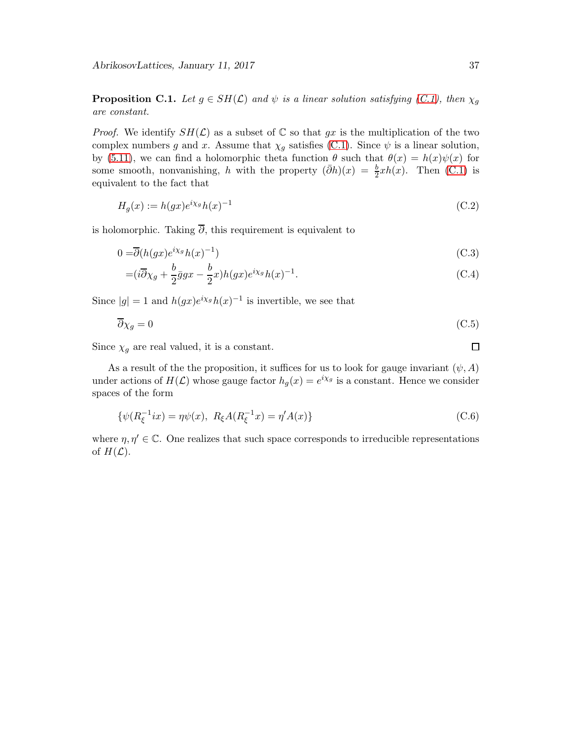<span id="page-36-0"></span>**Proposition C.1.** Let  $g \in SH(\mathcal{L})$  and  $\psi$  is a linear solution satisfying [\(C.1\)](#page-35-1), then  $\chi_g$ are constant.

*Proof.* We identify  $SH(\mathcal{L})$  as a subset of  $\mathbb C$  so that gx is the multiplication of the two complex numbers g and x. Assume that  $\chi_g$  satisfies [\(C.1\)](#page-35-1). Since  $\psi$  is a linear solution, by [\(5.11\)](#page-8-1), we can find a holomorphic theta function  $\theta$  such that  $\theta(x) = h(x)\psi(x)$  for some smooth, nonvanishing, h with the property  $(\bar{\partial}h)(x) = \frac{b}{2}xh(x)$ . Then [\(C.1\)](#page-35-1) is equivalent to the fact that

$$
H_g(x) := h(gx)e^{i\chi_g}h(x)^{-1}
$$
\n
$$
(C.2)
$$

is holomorphic. Taking  $\overline{\partial}$ , this requirement is equivalent to

$$
0 = \overline{\partial}(h(gx)e^{i\chi_g}h(x)^{-1})\tag{C.3}
$$

$$
=(i\overline{\partial}\chi_g + \frac{b}{2}\overline{g}gx - \frac{b}{2}x)h(gx)e^{i\chi_g}h(x)^{-1}.
$$
\n(C.4)

Since  $|g| = 1$  and  $h(gx)e^{i\chi_g}h(x)^{-1}$  is invertible, we see that

$$
\overline{\partial}\chi_g = 0 \tag{C.5}
$$

Since  $\chi_g$  are real valued, it is a constant.

As a result of the the proposition, it suffices for us to look for gauge invariant  $(\psi, A)$ under actions of  $H(\mathcal{L})$  whose gauge factor  $h_g(x) = e^{i\chi_g}$  is a constant. Hence we consider spaces of the form

$$
\{\psi(R_{\xi}^{-1}ix) = \eta\psi(x), \ R_{\xi}A(R_{\xi}^{-1}x) = \eta' A(x)\}\
$$
\n(C.6)

where  $\eta, \eta' \in \mathbb{C}$ . One realizes that such space corresponds to irreducible representations of  $H(\mathcal{L})$ .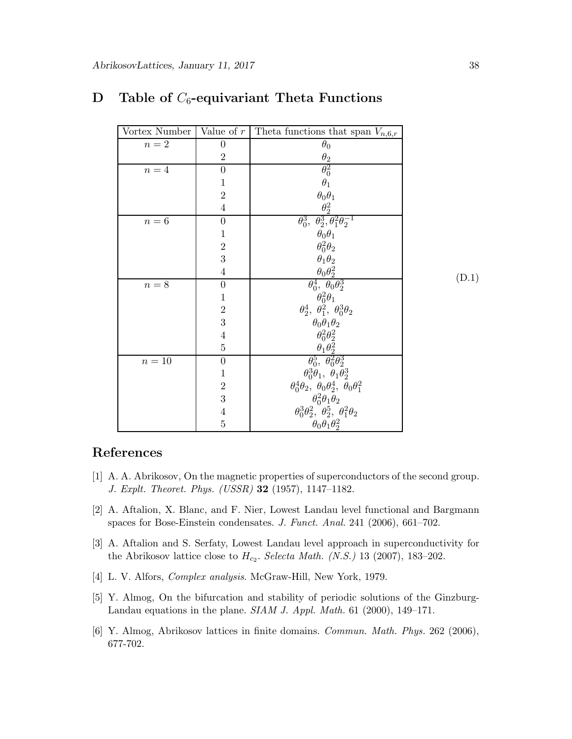<span id="page-37-5"></span>

| Vortex Number      | Value of $r$     | Theta functions that span $V_{n,6,r}$                              |       |
|--------------------|------------------|--------------------------------------------------------------------|-------|
| $\sqrt{n}=2$       | $\boldsymbol{0}$ | $\theta_0$                                                         |       |
|                    | $\overline{2}$   | $\theta_2$                                                         |       |
| $\sqrt{n}=4$       | $\boldsymbol{0}$ | $\theta_0^2$                                                       |       |
|                    | $\mathbf{1}$     | $\theta_1$                                                         |       |
|                    | $\overline{2}$   | $\theta_0 \theta_1$                                                |       |
|                    | $\overline{4}$   | $\theta_2^2$                                                       |       |
| $\boldsymbol{n=6}$ | $\boldsymbol{0}$ | $\theta_0^3$ , $\theta_2^3$ , $\theta_1^2 \theta_2^{-1}$           |       |
|                    | $1\,$            | $\theta_0\theta_1$                                                 |       |
|                    | $\frac{2}{3}$    | $\theta_0^2\theta_2$                                               |       |
|                    |                  | $\theta_1\theta_2$                                                 |       |
|                    | $\,4\,$          | $\theta_0\theta_2^2$                                               | (D.1) |
| $n=8$              | $\boldsymbol{0}$ | $\theta_0^4$ , $\theta_0 \theta_2^3$                               |       |
|                    | $\mathbf{1}$     | $\theta_0^2\theta_1$                                               |       |
|                    | $\frac{2}{3}$    | $\theta_2^4$ , $\theta_1^2$ , $\theta_0^3\theta_2$                 |       |
|                    |                  | $\theta_0\theta_1\theta_2$                                         |       |
|                    | $\frac{4}{5}$    | $\theta_0^2 \theta_2^2$                                            |       |
|                    |                  | $\frac{\theta_1 \theta_2^2}{\theta_0^5, \theta_0^2 \theta_2^3}$    |       |
| $n=10$             | $\boldsymbol{0}$ |                                                                    |       |
|                    | $\mathbf 1$      | $\theta_0^3\theta_1, \ \theta_1\theta_2^3$                         |       |
|                    | $\overline{2}$   | $\theta_0^4\theta_2$ , $\theta_0\theta_2^4$ , $\theta_0\theta_1^2$ |       |
|                    | 3                | $\theta_0^2\theta_1\theta_2$                                       |       |
|                    | $\overline{4}$   | $\theta_0^3 \theta_2^2$ , $\theta_2^5$ , $\theta_1^2 \theta_2$     |       |
|                    | $\overline{5}$   | $\theta_0 \theta_1 \theta_2^2$                                     |       |

# <span id="page-37-4"></span>D Table of  $C_6$ -equivariant Theta Functions

# <span id="page-37-0"></span>References

- [1] A. A. Abrikosov, On the magnetic properties of superconductors of the second group. J. Explt. Theoret. Phys. (USSR) 32 (1957), 1147–1182.
- [2] A. Aftalion, X. Blanc, and F. Nier, Lowest Landau level functional and Bargmann spaces for Bose-Einstein condensates. J. Funct. Anal. 241 (2006), 661–702.
- <span id="page-37-1"></span>[3] A. Aftalion and S. Serfaty, Lowest Landau level approach in superconductivity for the Abrikosov lattice close to  $H_{c_2}$ . Selecta Math. (N.S.) 13 (2007), 183–202.
- <span id="page-37-3"></span>[4] L. V. Alfors, Complex analysis. McGraw-Hill, New York, 1979.
- [5] Y. Almog, On the bifurcation and stability of periodic solutions of the Ginzburg-Landau equations in the plane. SIAM J. Appl. Math. 61 (2000), 149–171.
- <span id="page-37-2"></span>[6] Y. Almog, Abrikosov lattices in finite domains. Commun. Math. Phys. 262 (2006), 677-702.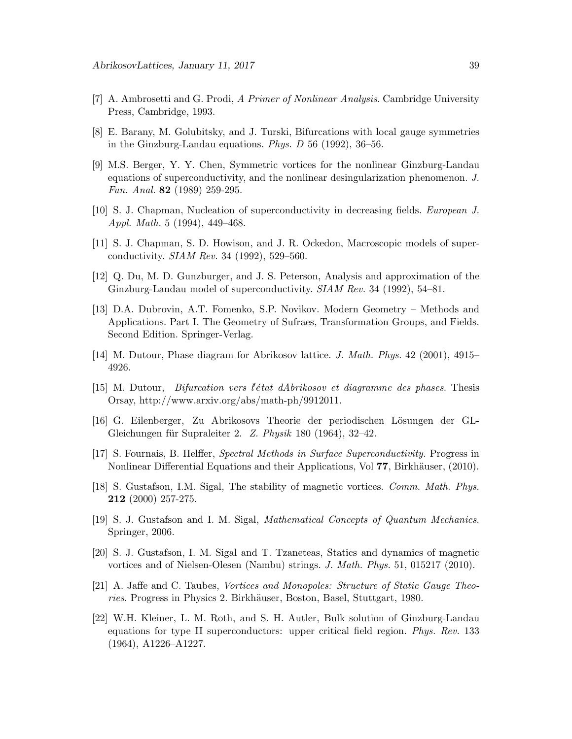- <span id="page-38-8"></span>[7] A. Ambrosetti and G. Prodi, A Primer of Nonlinear Analysis. Cambridge University Press, Cambridge, 1993.
- [8] E. Barany, M. Golubitsky, and J. Turski, Bifurcations with local gauge symmetries in the Ginzburg-Landau equations. Phys. D 56 (1992), 36–56.
- [9] M.S. Berger, Y. Y. Chen, Symmetric vortices for the nonlinear Ginzburg-Landau equations of superconductivity, and the nonlinear desingularization phenomenon. J. Fun. Anal. 82 (1989) 259-295.
- <span id="page-38-7"></span><span id="page-38-0"></span>[10] S. J. Chapman, Nucleation of superconductivity in decreasing fields. European J. Appl. Math. 5 (1994), 449–468.
- <span id="page-38-1"></span>[11] S. J. Chapman, S. D. Howison, and J. R. Ockedon, Macroscopic models of superconductivity. SIAM Rev. 34 (1992), 529–560.
- <span id="page-38-11"></span>[12] Q. Du, M. D. Gunzburger, and J. S. Peterson, Analysis and approximation of the Ginzburg-Landau model of superconductivity. SIAM Rev. 34 (1992), 54–81.
- [13] D.A. Dubrovin, A.T. Fomenko, S.P. Novikov. Modern Geometry Methods and Applications. Part I. The Geometry of Sufraes, Transformation Groups, and Fields. Second Edition. Springer-Verlag.
- <span id="page-38-10"></span><span id="page-38-9"></span>[14] M. Dutour, Phase diagram for Abrikosov lattice. J. Math. Phys. 42 (2001), 4915– 4926.
- <span id="page-38-6"></span>[15] M. Dutour, *Bifurcation vers l'état dAbrikosov et diagramme des phases*. Thesis Orsay, http://www.arxiv.org/abs/math-ph/9912011.
- [16] G. Eilenberger, Zu Abrikosovs Theorie der periodischen L¨osungen der GL-Gleichungen für Supraleiter 2. Z. Physik 180 (1964), 32–42.
- <span id="page-38-3"></span>[17] S. Fournais, B. Helffer, Spectral Methods in Surface Superconductivity. Progress in Nonlinear Differential Equations and their Applications, Vol 77, Birkhäuser, (2010).
- [18] S. Gustafson, I.M. Sigal, The stability of magnetic vortices. Comm. Math. Phys. 212 (2000) 257-275.
- <span id="page-38-12"></span><span id="page-38-2"></span>[19] S. J. Gustafson and I. M. Sigal, Mathematical Concepts of Quantum Mechanics. Springer, 2006.
- [20] S. J. Gustafson, I. M. Sigal and T. Tzaneteas, Statics and dynamics of magnetic vortices and of Nielsen-Olesen (Nambu) strings. J. Math. Phys. 51, 015217 (2010).
- <span id="page-38-5"></span><span id="page-38-4"></span>[21] A. Jaffe and C. Taubes, Vortices and Monopoles: Structure of Static Gauge Theories. Progress in Physics 2. Birkhäuser, Boston, Basel, Stuttgart, 1980.
- [22] W.H. Kleiner, L. M. Roth, and S. H. Autler, Bulk solution of Ginzburg-Landau equations for type II superconductors: upper critical field region. Phys. Rev. 133 (1964), A1226–A1227.